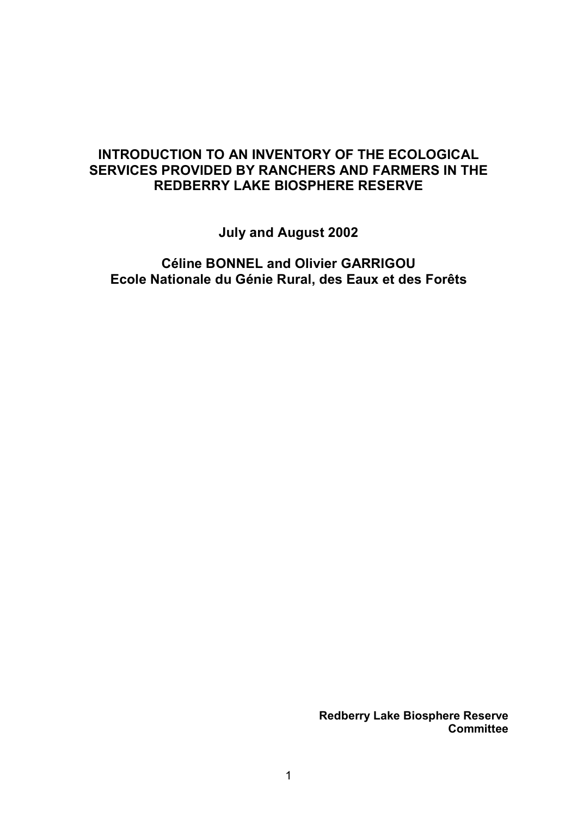# **INTRODUCTION TO AN INVENTORY OF THE ECOLOGICAL SERVICES PROVIDED BY RANCHERS AND FARMERS IN THE REDBERRY LAKE BIOSPHERE RESERVE**

**July and August 2002** 

**CÈline BONNEL and Olivier GARRIGOU Ecole Nationale du Génie Rural, des Eaux et des Forêts** 

> **Redberry Lake Biosphere Reserve Committee**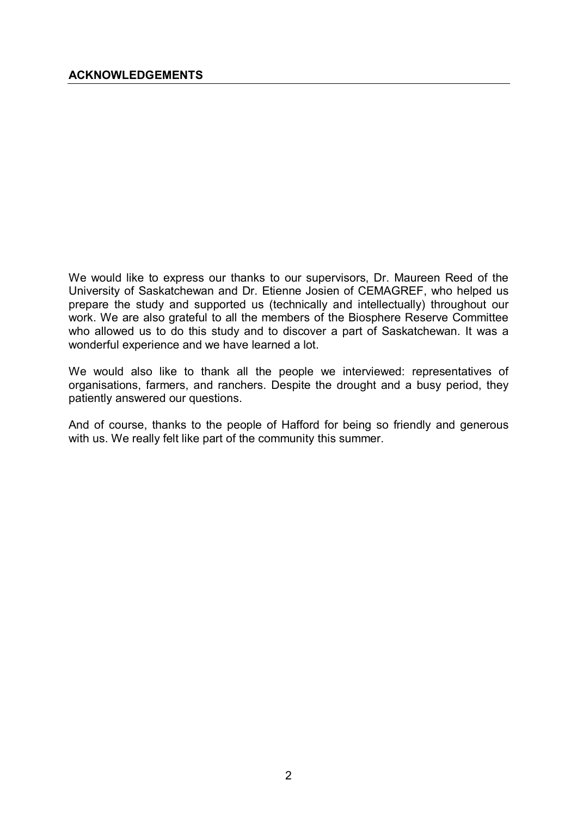We would like to express our thanks to our supervisors, Dr. Maureen Reed of the University of Saskatchewan and Dr. Etienne Josien of CEMAGREF, who helped us prepare the study and supported us (technically and intellectually) throughout our work. We are also grateful to all the members of the Biosphere Reserve Committee who allowed us to do this study and to discover a part of Saskatchewan. It was a wonderful experience and we have learned a lot.

We would also like to thank all the people we interviewed: representatives of organisations, farmers, and ranchers. Despite the drought and a busy period, they patiently answered our questions.

And of course, thanks to the people of Hafford for being so friendly and generous with us. We really felt like part of the community this summer.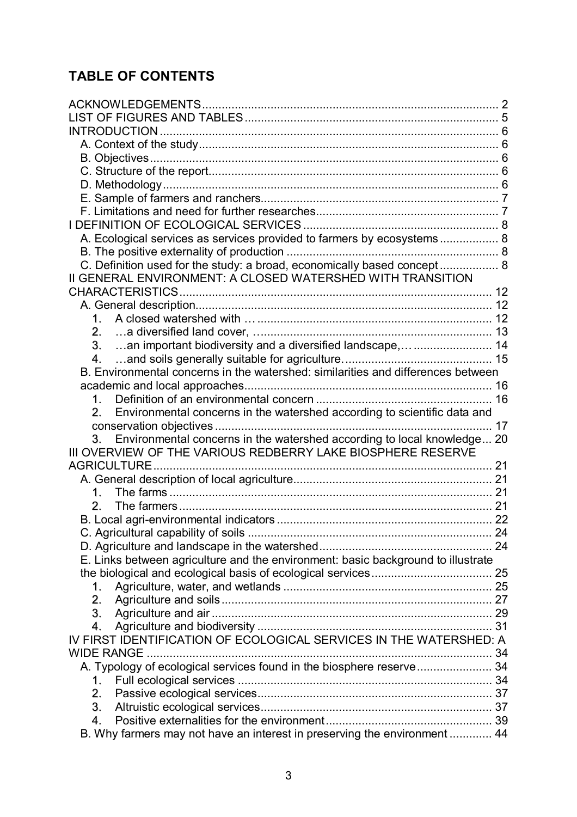# **TABLE OF CONTENTS**

| A. Ecological services as services provided to farmers by ecosystems 8           |    |
|----------------------------------------------------------------------------------|----|
|                                                                                  |    |
| C. Definition used for the study: a broad, economically based concept 8          |    |
| II GENERAL ENVIRONMENT: A CLOSED WATERSHED WITH TRANSITION                       |    |
|                                                                                  |    |
|                                                                                  |    |
| 1 <sub>1</sub>                                                                   |    |
| 2.                                                                               |    |
| 3.                                                                               |    |
| 4.                                                                               |    |
| B. Environmental concerns in the watershed: similarities and differences between |    |
|                                                                                  |    |
| 1 <sub>1</sub>                                                                   |    |
| Environmental concerns in the watershed according to scientific data and<br>2    |    |
|                                                                                  | 17 |
| Environmental concerns in the watershed according to local knowledge 20<br>3.    |    |
| III OVERVIEW OF THE VARIOUS REDBERRY LAKE BIOSPHERE RESERVE                      |    |
|                                                                                  |    |
|                                                                                  |    |
| 1.                                                                               |    |
| 2.                                                                               |    |
|                                                                                  |    |
|                                                                                  |    |
|                                                                                  |    |
| E. Links between agriculture and the environment: basic background to illustrate |    |
|                                                                                  |    |
| $1_{\cdot}$                                                                      |    |
| 2.                                                                               |    |
| 3.                                                                               |    |
| 4.                                                                               |    |
| IV FIRST IDENTIFICATION OF ECOLOGICAL SERVICES IN THE WATERSHED: A               |    |
|                                                                                  |    |
| A. Typology of ecological services found in the biosphere reserve 34             |    |
| 1.                                                                               |    |
| 2.                                                                               |    |
| 3.                                                                               |    |
| 4.                                                                               |    |
| B. Why farmers may not have an interest in preserving the environment  44        |    |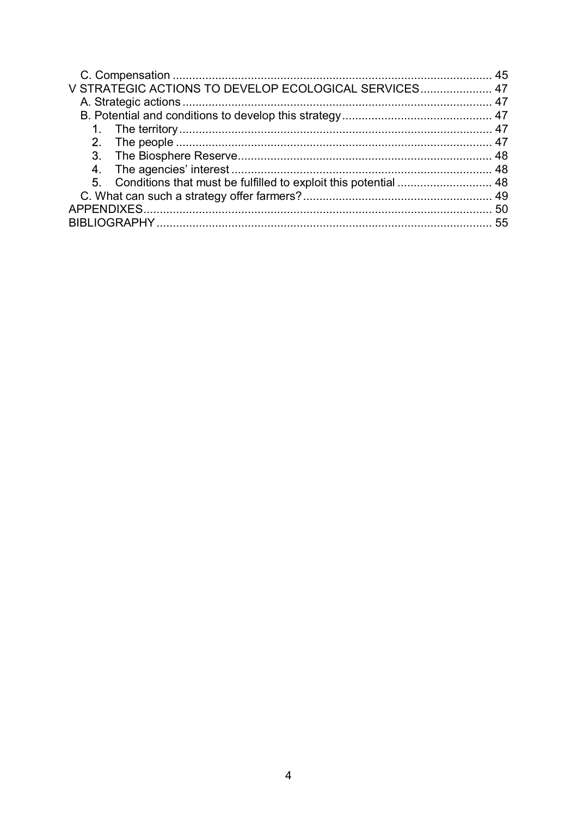| V STRATEGIC ACTIONS TO DEVELOP ECOLOGICAL SERVICES 47 |  |
|-------------------------------------------------------|--|
|                                                       |  |
|                                                       |  |
|                                                       |  |
|                                                       |  |
|                                                       |  |
|                                                       |  |
|                                                       |  |
|                                                       |  |
|                                                       |  |
|                                                       |  |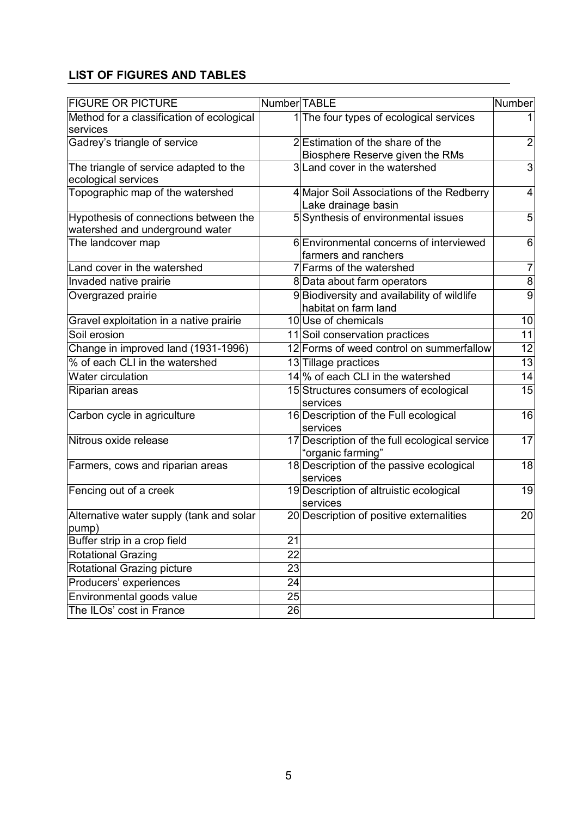## **LIST OF FIGURES AND TABLES**

| <b>FIGURE OR PICTURE</b>                                                 | Number TABLE    |                                                                     | Number          |
|--------------------------------------------------------------------------|-----------------|---------------------------------------------------------------------|-----------------|
| Method for a classification of ecological<br>services                    |                 | 1 The four types of ecological services                             | 1               |
| Gadrey's triangle of service                                             |                 | 2 Estimation of the share of the                                    | $\overline{2}$  |
|                                                                          |                 | Biosphere Reserve given the RMs                                     |                 |
| The triangle of service adapted to the<br>ecological services            |                 | 3 Land cover in the watershed                                       | 3               |
| Topographic map of the watershed                                         |                 | 4 Major Soil Associations of the Redberry<br>Lake drainage basin    | $\overline{4}$  |
| Hypothesis of connections between the<br>watershed and underground water |                 | 5 Synthesis of environmental issues                                 | 5               |
| The landcover map                                                        |                 | 6 Environmental concerns of interviewed<br>farmers and ranchers     | 6               |
| Land cover in the watershed                                              |                 | 7 Farms of the watershed                                            | $\overline{7}$  |
| Invaded native prairie                                                   |                 | 8 Data about farm operators                                         | 8               |
| Overgrazed prairie                                                       |                 | 9 Biodiversity and availability of wildlife<br>habitat on farm land | 9               |
| Gravel exploitation in a native prairie                                  |                 | 10 Use of chemicals                                                 | 10              |
| Soil erosion                                                             |                 | 11 Soil conservation practices                                      | $\overline{11}$ |
| Change in improved land (1931-1996)                                      |                 | 12 Forms of weed control on summerfallow                            | 12              |
| % of each CLI in the watershed                                           |                 | 13 Tillage practices                                                | 13              |
| Water circulation                                                        |                 | 14 % of each CLI in the watershed                                   | 14              |
| Riparian areas                                                           |                 | 15 Structures consumers of ecological<br>services                   | 15              |
| Carbon cycle in agriculture                                              |                 | 16 Description of the Full ecological<br>services                   | 16              |
| Nitrous oxide release                                                    |                 | 17 Description of the full ecological service<br>'organic farming"  | $\overline{17}$ |
| Farmers, cows and riparian areas                                         |                 | 18 Description of the passive ecological<br>services                | 18              |
| Fencing out of a creek                                                   |                 | 19 Description of altruistic ecological<br>services                 | 19              |
| Alternative water supply (tank and solar<br>pump)                        |                 | 20 Description of positive externalities                            | 20              |
| Buffer strip in a crop field                                             | 21              |                                                                     |                 |
| <b>Rotational Grazing</b>                                                | 22              |                                                                     |                 |
| Rotational Grazing picture                                               | 23              |                                                                     |                 |
| Producers' experiences                                                   | 24              |                                                                     |                 |
| Environmental goods value                                                | $\overline{25}$ |                                                                     |                 |
| The ILOs' cost in France                                                 | 26              |                                                                     |                 |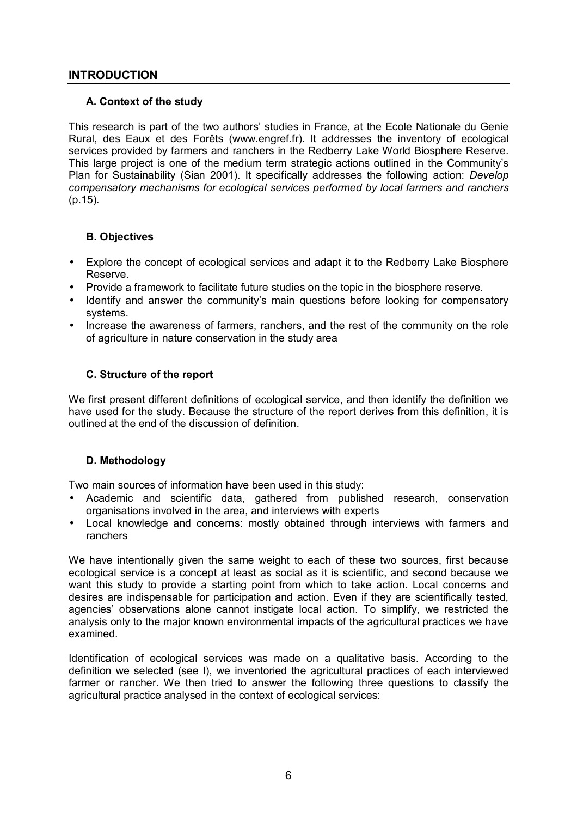## **INTRODUCTION**

## **A. Context of the study**

This research is part of the two authors' studies in France, at the Ecole Nationale du Genie Rural, des Eaux et des Forêts (www.engref.fr). It addresses the inventory of ecological services provided by farmers and ranchers in the Redberry Lake World Biosphere Reserve. This large project is one of the medium term strategic actions outlined in the Communityís Plan for Sustainability (Sian 2001). It specifically addresses the following action: *Develop compensatory mechanisms for ecological services performed by local farmers and ranchers* (p.15)*.*

## **B. Objectives**

- Explore the concept of ecological services and adapt it to the Redberry Lake Biosphere Reserve.
- Provide a framework to facilitate future studies on the topic in the biosphere reserve.
- Identify and answer the community's main questions before looking for compensatory systems.
- Increase the awareness of farmers, ranchers, and the rest of the community on the role of agriculture in nature conservation in the study area

## **C. Structure of the report**

We first present different definitions of ecological service, and then identify the definition we have used for the study. Because the structure of the report derives from this definition, it is outlined at the end of the discussion of definition.

## **D. Methodology**

Two main sources of information have been used in this study:

- Academic and scientific data, gathered from published research, conservation organisations involved in the area, and interviews with experts
- Local knowledge and concerns: mostly obtained through interviews with farmers and ranchers

We have intentionally given the same weight to each of these two sources, first because ecological service is a concept at least as social as it is scientific, and second because we want this study to provide a starting point from which to take action. Local concerns and desires are indispensable for participation and action. Even if they are scientifically tested, agenciesí observations alone cannot instigate local action. To simplify, we restricted the analysis only to the major known environmental impacts of the agricultural practices we have examined.

Identification of ecological services was made on a qualitative basis. According to the definition we selected (see I), we inventoried the agricultural practices of each interviewed farmer or rancher. We then tried to answer the following three questions to classify the agricultural practice analysed in the context of ecological services: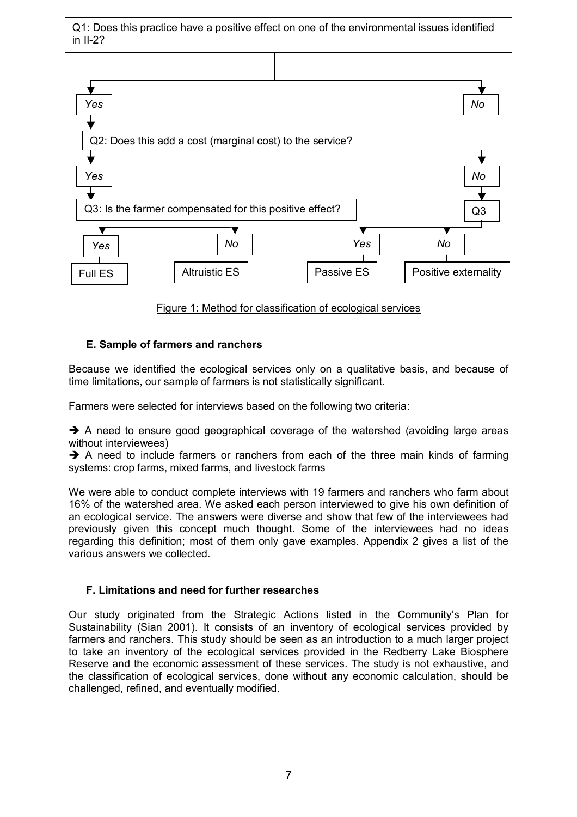Q1: Does this practice have a positive effect on one of the environmental issues identified in II-2?



Figure 1: Method for classification of ecological services

## **E. Sample of farmers and ranchers**

Because we identified the ecological services only on a qualitative basis, and because of time limitations, our sample of farmers is not statistically significant.

Farmers were selected for interviews based on the following two criteria:

 $\rightarrow$  A need to ensure good geographical coverage of the watershed (avoiding large areas without interviewees)

 $\rightarrow$  A need to include farmers or ranchers from each of the three main kinds of farming systems: crop farms, mixed farms, and livestock farms

We were able to conduct complete interviews with 19 farmers and ranchers who farm about 16% of the watershed area. We asked each person interviewed to give his own definition of an ecological service. The answers were diverse and show that few of the interviewees had previously given this concept much thought. Some of the interviewees had no ideas regarding this definition; most of them only gave examples. Appendix 2 gives a list of the various answers we collected.

## **F. Limitations and need for further researches**

Our study originated from the Strategic Actions listed in the Community's Plan for Sustainability (Sian 2001). It consists of an inventory of ecological services provided by farmers and ranchers. This study should be seen as an introduction to a much larger project to take an inventory of the ecological services provided in the Redberry Lake Biosphere Reserve and the economic assessment of these services. The study is not exhaustive, and the classification of ecological services, done without any economic calculation, should be challenged, refined, and eventually modified.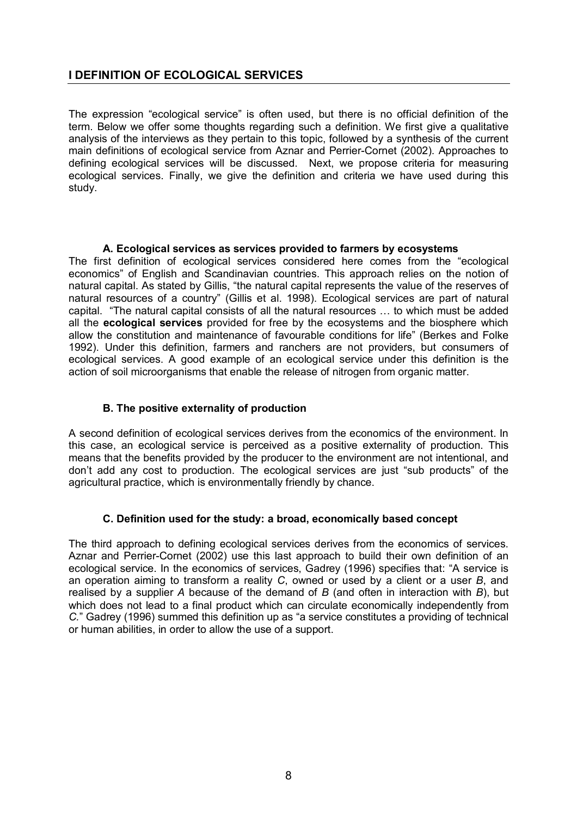## **I DEFINITION OF ECOLOGICAL SERVICES**

The expression "ecological service" is often used, but there is no official definition of the term. Below we offer some thoughts regarding such a definition. We first give a qualitative analysis of the interviews as they pertain to this topic, followed by a synthesis of the current main definitions of ecological service from Aznar and Perrier-Cornet (2002). Approaches to defining ecological services will be discussed. Next, we propose criteria for measuring ecological services. Finally, we give the definition and criteria we have used during this study.

## **A. Ecological services as services provided to farmers by ecosystems**

The first definition of ecological services considered here comes from the "ecological economicsî of English and Scandinavian countries. This approach relies on the notion of natural capital. As stated by Gillis, "the natural capital represents the value of the reserves of natural resources of a country" (Gillis et al. 1998). Ecological services are part of natural capital. "The natural capital consists of all the natural resources ... to which must be added all the **ecological services** provided for free by the ecosystems and the biosphere which allow the constitution and maintenance of favourable conditions for lifeî (Berkes and Folke 1992). Under this definition, farmers and ranchers are not providers, but consumers of ecological services. A good example of an ecological service under this definition is the action of soil microorganisms that enable the release of nitrogen from organic matter.

## **B. The positive externality of production**

A second definition of ecological services derives from the economics of the environment. In this case, an ecological service is perceived as a positive externality of production. This means that the benefits provided by the producer to the environment are not intentional, and don't add any cost to production. The ecological services are just "sub products" of the agricultural practice, which is environmentally friendly by chance.

## **C. Definition used for the study: a broad, economically based concept**

The third approach to defining ecological services derives from the economics of services. Aznar and Perrier-Cornet (2002) use this last approach to build their own definition of an ecological service. In the economics of services, Gadrey (1996) specifies that: "A service is an operation aiming to transform a reality *C*, owned or used by a client or a user *B*, and realised by a supplier *A* because of the demand of *B* (and often in interaction with *B*), but which does not lead to a final product which can circulate economically independently from *C.*<sup>n</sup> Gadrey (1996) summed this definition up as "a service constitutes a providing of technical or human abilities, in order to allow the use of a support.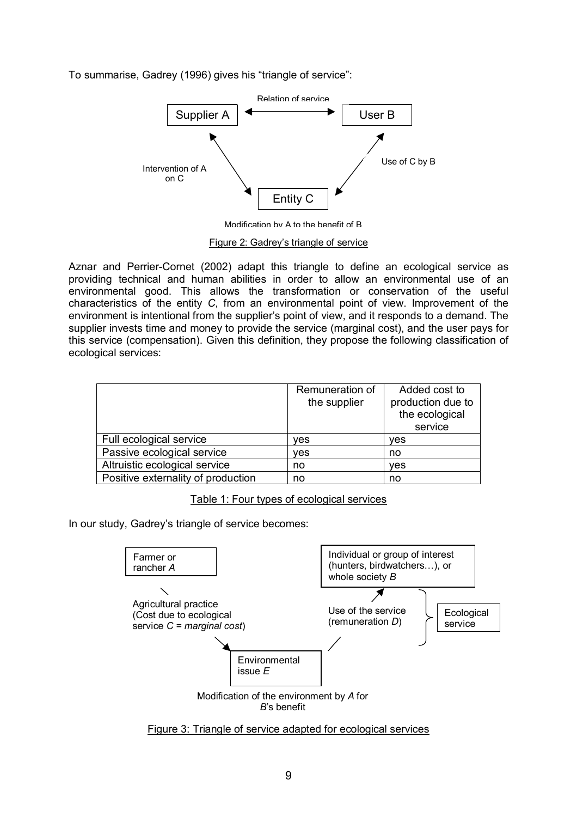To summarise, Gadrey (1996) gives his "triangle of service":



Modification by A to the benefit of B

Figure 2: Gadrey's triangle of service

Aznar and Perrier-Cornet (2002) adapt this triangle to define an ecological service as providing technical and human abilities in order to allow an environmental use of an environmental good. This allows the transformation or conservation of the useful characteristics of the entity *C*, from an environmental point of view. Improvement of the environment is intentional from the supplier's point of view, and it responds to a demand. The supplier invests time and money to provide the service (marginal cost), and the user pays for this service (compensation). Given this definition, they propose the following classification of ecological services:

|                                    | Remuneration of<br>the supplier | Added cost to<br>production due to<br>the ecological<br>service |
|------------------------------------|---------------------------------|-----------------------------------------------------------------|
| Full ecological service            | ves                             | yes                                                             |
| Passive ecological service         | ves                             | no                                                              |
| Altruistic ecological service      | no                              | ves                                                             |
| Positive externality of production | no                              | no                                                              |

Table 1: Four types of ecological services

In our study, Gadrey's triangle of service becomes:



Figure 3: Triangle of service adapted for ecological services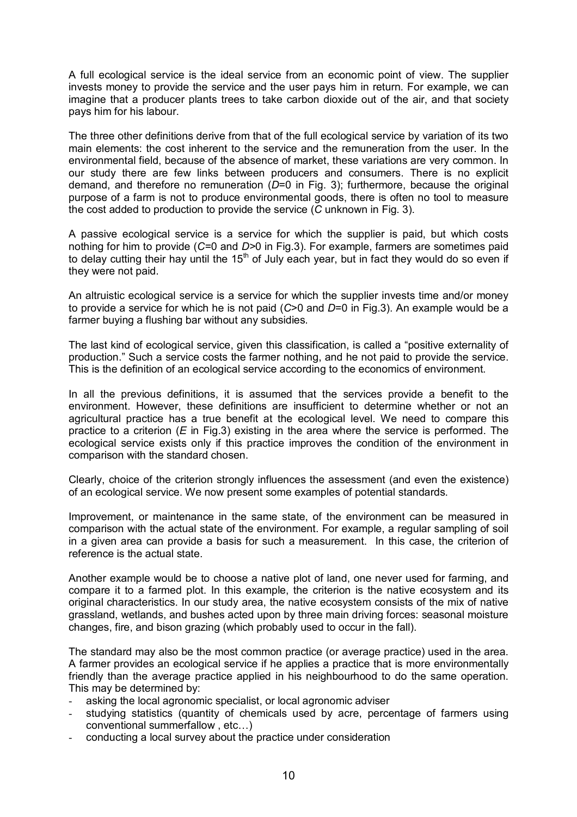A full ecological service is the ideal service from an economic point of view. The supplier invests money to provide the service and the user pays him in return. For example, we can imagine that a producer plants trees to take carbon dioxide out of the air, and that society pays him for his labour.

The three other definitions derive from that of the full ecological service by variation of its two main elements: the cost inherent to the service and the remuneration from the user. In the environmental field, because of the absence of market, these variations are very common. In our study there are few links between producers and consumers. There is no explicit demand, and therefore no remuneration (*D*=0 in Fig. 3); furthermore, because the original purpose of a farm is not to produce environmental goods, there is often no tool to measure the cost added to production to provide the service (*C* unknown in Fig. 3).

A passive ecological service is a service for which the supplier is paid, but which costs nothing for him to provide (*C=*0 and *D>*0 in Fig.3). For example, farmers are sometimes paid to delay cutting their hay until the  $15<sup>th</sup>$  of July each year, but in fact they would do so even if they were not paid.

An altruistic ecological service is a service for which the supplier invests time and/or money to provide a service for which he is not paid (*C*>0 and *D*=0 in Fig.3). An example would be a farmer buying a flushing bar without any subsidies.

The last kind of ecological service, given this classification, is called a "positive externality of production.î Such a service costs the farmer nothing, and he not paid to provide the service. This is the definition of an ecological service according to the economics of environment.

In all the previous definitions, it is assumed that the services provide a benefit to the environment. However, these definitions are insufficient to determine whether or not an agricultural practice has a true benefit at the ecological level. We need to compare this practice to a criterion (*E* in Fig.3) existing in the area where the service is performed. The ecological service exists only if this practice improves the condition of the environment in comparison with the standard chosen.

Clearly, choice of the criterion strongly influences the assessment (and even the existence) of an ecological service. We now present some examples of potential standards.

Improvement, or maintenance in the same state, of the environment can be measured in comparison with the actual state of the environment. For example, a regular sampling of soil in a given area can provide a basis for such a measurement. In this case, the criterion of reference is the actual state.

Another example would be to choose a native plot of land, one never used for farming, and compare it to a farmed plot. In this example, the criterion is the native ecosystem and its original characteristics. In our study area, the native ecosystem consists of the mix of native grassland, wetlands, and bushes acted upon by three main driving forces: seasonal moisture changes, fire, and bison grazing (which probably used to occur in the fall).

The standard may also be the most common practice (or average practice) used in the area. A farmer provides an ecological service if he applies a practice that is more environmentally friendly than the average practice applied in his neighbourhood to do the same operation. This may be determined by:

- asking the local agronomic specialist, or local agronomic adviser
- studying statistics (quantity of chemicals used by acre, percentage of farmers using conventional summerfallow, etc...)
- conducting a local survey about the practice under consideration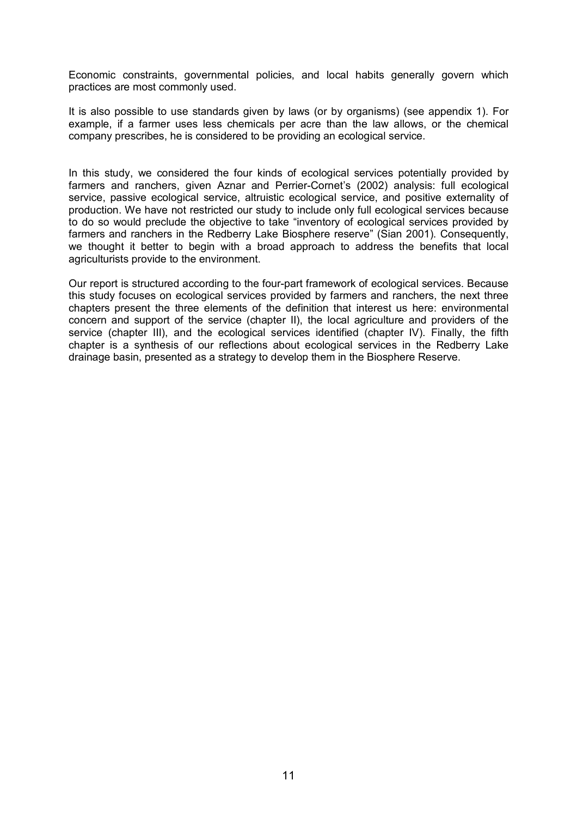Economic constraints, governmental policies, and local habits generally govern which practices are most commonly used.

It is also possible to use standards given by laws (or by organisms) (see appendix 1). For example, if a farmer uses less chemicals per acre than the law allows, or the chemical company prescribes, he is considered to be providing an ecological service.

In this study, we considered the four kinds of ecological services potentially provided by farmers and ranchers, given Aznar and Perrier-Cornet's (2002) analysis: full ecological service, passive ecological service, altruistic ecological service, and positive externality of production. We have not restricted our study to include only full ecological services because to do so would preclude the objective to take "inventory of ecological services provided by farmers and ranchers in the Redberry Lake Biosphere reserve" (Sian 2001). Consequently, we thought it better to begin with a broad approach to address the benefits that local agriculturists provide to the environment.

Our report is structured according to the four-part framework of ecological services. Because this study focuses on ecological services provided by farmers and ranchers, the next three chapters present the three elements of the definition that interest us here: environmental concern and support of the service (chapter II), the local agriculture and providers of the service (chapter III), and the ecological services identified (chapter IV). Finally, the fifth chapter is a synthesis of our reflections about ecological services in the Redberry Lake drainage basin, presented as a strategy to develop them in the Biosphere Reserve.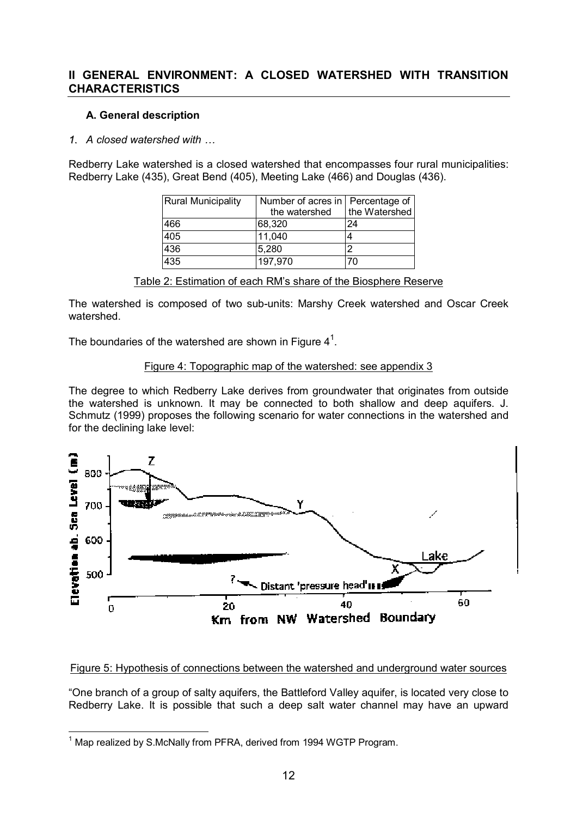## **II GENERAL ENVIRONMENT: A CLOSED WATERSHED WITH TRANSITION CHARACTERISTICS**

## **A. General description**

## 1. A closed watershed with  $\ldots$

Redberry Lake watershed is a closed watershed that encompasses four rural municipalities: Redberry Lake (435), Great Bend (405), Meeting Lake (466) and Douglas (436).

| <b>Rural Municipality</b> | Number of acres in   Percentage of<br>the watershed | the Watershed |
|---------------------------|-----------------------------------------------------|---------------|
| 466                       | 68,320                                              | 24            |
| 405                       | 11,040                                              |               |
| 436                       | 5,280                                               |               |
| 435                       | 197,970                                             | 70            |

| Table 2: Estimation of each RM's share of the Biosphere Reserve |
|-----------------------------------------------------------------|
|-----------------------------------------------------------------|

The watershed is composed of two sub-units: Marshy Creek watershed and Oscar Creek watershed.

The boundaries of the watershed are shown in Figure  $4^1$ .

## Figure 4: Topographic map of the watershed: see appendix 3

The degree to which Redberry Lake derives from groundwater that originates from outside the watershed is unknown. It may be connected to both shallow and deep aquifers. J. Schmutz (1999) proposes the following scenario for water connections in the watershed and for the declining lake level:



## Figure 5: Hypothesis of connections between the watershed and underground water sources

ìOne branch of a group of salty aquifers, the Battleford Valley aquifer, is located very close to Redberry Lake. It is possible that such a deep salt water channel may have an upward

l  $1$  Map realized by S.McNally from PFRA, derived from 1994 WGTP Program.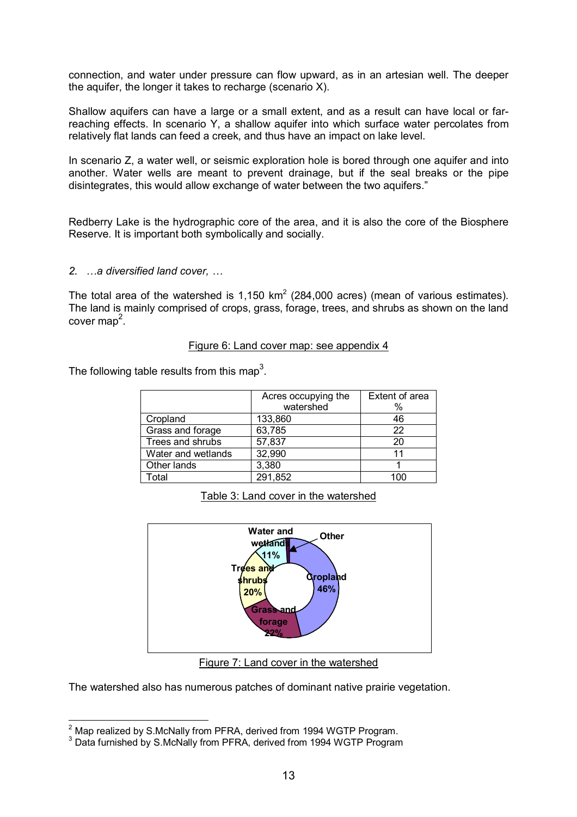connection, and water under pressure can flow upward, as in an artesian well. The deeper the aquifer, the longer it takes to recharge (scenario X).

Shallow aquifers can have a large or a small extent, and as a result can have local or farreaching effects. In scenario Y, a shallow aquifer into which surface water percolates from relatively flat lands can feed a creek, and thus have an impact on lake level.

In scenario Z, a water well, or seismic exploration hole is bored through one aquifer and into another. Water wells are meant to prevent drainage, but if the seal breaks or the pipe disintegrates, this would allow exchange of water between the two aquifers."

Redberry Lake is the hydrographic core of the area, and it is also the core of the Biosphere Reserve. It is important both symbolically and socially.

#### **2.**  $\ldots$  a diversified land cover,  $\ldots$

The total area of the watershed is 1,150 km<sup>2</sup> (284,000 acres) (mean of various estimates). The land is mainly comprised of crops, grass, forage, trees, and shrubs as shown on the land cover map<sup>2</sup>.

#### Figure 6: Land cover map: see appendix 4

The following table results from this map<sup>3</sup>.

|                    | Acres occupying the | Extent of area |
|--------------------|---------------------|----------------|
|                    | watershed           | %              |
| Cropland           | 133,860             | 46             |
| Grass and forage   | 63,785              | 22             |
| Trees and shrubs   | 57,837              | 20             |
| Water and wetlands | 32,990              | 11             |
| Other lands        | 3,380               |                |
| <sup>-</sup> otal  | 291,852             | 100            |

Table 3: Land cover in the watershed



Figure 7: Land cover in the watershed

The watershed also has numerous patches of dominant native prairie vegetation.

 2 Map realized by S.McNally from PFRA, derived from 1994 WGTP Program.

<sup>&</sup>lt;sup>3</sup> Data furnished by S.McNally from PFRA, derived from 1994 WGTP Program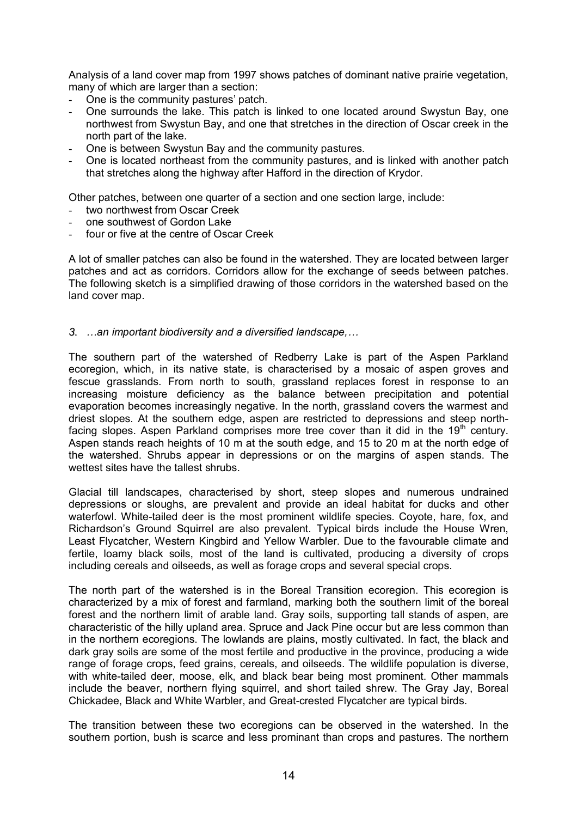Analysis of a land cover map from 1997 shows patches of dominant native prairie vegetation, many of which are larger than a section:

- One is the community pastures' patch.
- One surrounds the lake. This patch is linked to one located around Swystun Bay, one northwest from Swystun Bay, and one that stretches in the direction of Oscar creek in the north part of the lake.
- One is between Swystun Bay and the community pastures.
- One is located northeast from the community pastures, and is linked with another patch that stretches along the highway after Hafford in the direction of Krydor.

Other patches, between one quarter of a section and one section large, include:

- two northwest from Oscar Creek
- one southwest of Gordon Lake
- four or five at the centre of Oscar Creek

A lot of smaller patches can also be found in the watershed. They are located between larger patches and act as corridors. Corridors allow for the exchange of seeds between patches. The following sketch is a simplified drawing of those corridors in the watershed based on the land cover map.

#### 3.  $\dots$ an important biodiversity and a diversified landscape, $\dots$

The southern part of the watershed of Redberry Lake is part of the Aspen Parkland ecoregion, which, in its native state, is characterised by a mosaic of aspen groves and fescue grasslands. From north to south, grassland replaces forest in response to an increasing moisture deficiency as the balance between precipitation and potential evaporation becomes increasingly negative. In the north, grassland covers the warmest and driest slopes. At the southern edge, aspen are restricted to depressions and steep northfacing slopes. Aspen Parkland comprises more tree cover than it did in the  $19<sup>th</sup>$  century. Aspen stands reach heights of 10 m at the south edge, and 15 to 20 m at the north edge of the watershed. Shrubs appear in depressions or on the margins of aspen stands. The wettest sites have the tallest shrubs.

Glacial till landscapes, characterised by short, steep slopes and numerous undrained depressions or sloughs, are prevalent and provide an ideal habitat for ducks and other waterfowl. White-tailed deer is the most prominent wildlife species. Coyote, hare, fox, and Richardsonís Ground Squirrel are also prevalent. Typical birds include the House Wren, Least Flycatcher, Western Kingbird and Yellow Warbler. Due to the favourable climate and fertile, loamy black soils, most of the land is cultivated, producing a diversity of crops including cereals and oilseeds, as well as forage crops and several special crops.

The north part of the watershed is in the Boreal Transition ecoregion. This ecoregion is characterized by a mix of forest and farmland, marking both the southern limit of the boreal forest and the northern limit of arable land. Gray soils, supporting tall stands of aspen, are characteristic of the hilly upland area. Spruce and Jack Pine occur but are less common than in the northern ecoregions. The lowlands are plains, mostly cultivated. In fact, the black and dark gray soils are some of the most fertile and productive in the province, producing a wide range of forage crops, feed grains, cereals, and oilseeds. The wildlife population is diverse, with white-tailed deer, moose, elk, and black bear being most prominent. Other mammals include the beaver, northern flying squirrel, and short tailed shrew. The Gray Jay, Boreal Chickadee, Black and White Warbler, and Great-crested Flycatcher are typical birds.

The transition between these two ecoregions can be observed in the watershed. In the southern portion, bush is scarce and less prominant than crops and pastures. The northern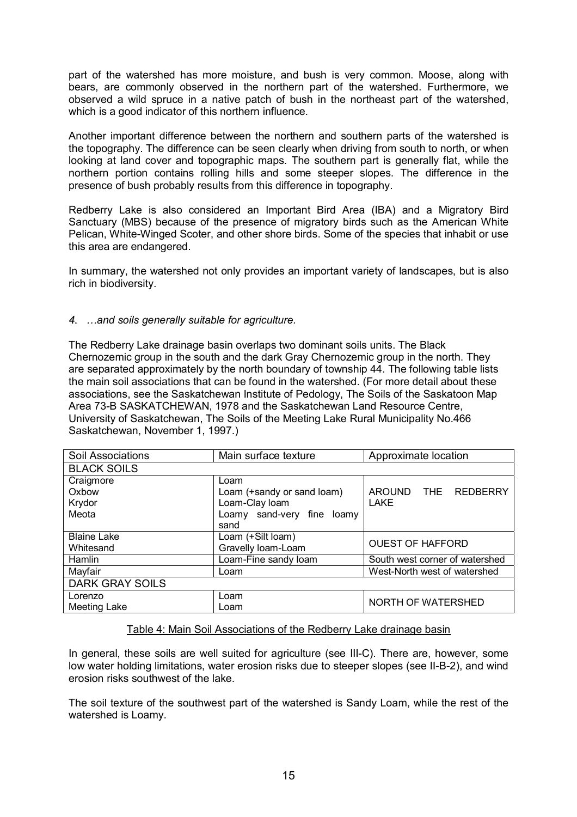part of the watershed has more moisture, and bush is very common. Moose, along with bears, are commonly observed in the northern part of the watershed. Furthermore, we observed a wild spruce in a native patch of bush in the northeast part of the watershed, which is a good indicator of this northern influence.

Another important difference between the northern and southern parts of the watershed is the topography. The difference can be seen clearly when driving from south to north, or when looking at land cover and topographic maps. The southern part is generally flat, while the northern portion contains rolling hills and some steeper slopes. The difference in the presence of bush probably results from this difference in topography.

Redberry Lake is also considered an Important Bird Area (IBA) and a Migratory Bird Sanctuary (MBS) because of the presence of migratory birds such as the American White Pelican, White-Winged Scoter, and other shore birds. Some of the species that inhabit or use this area are endangered.

In summary, the watershed not only provides an important variety of landscapes, but is also rich in biodiversity.

## *4. Öand soils generally suitable for agriculture.*

The Redberry Lake drainage basin overlaps two dominant soils units. The Black Chernozemic group in the south and the dark Gray Chernozemic group in the north. They are separated approximately by the north boundary of township 44. The following table lists the main soil associations that can be found in the watershed. (For more detail about these associations, see the Saskatchewan Institute of Pedology, The Soils of the Saskatoon Map Area 73-B SASKATCHEWAN, 1978 and the Saskatchewan Land Resource Centre, University of Saskatchewan, The Soils of the Meeting Lake Rural Municipality No.466 Saskatchewan, November 1, 1997.)

| Soil Associations      | Main surface texture       | Approximate location           |  |
|------------------------|----------------------------|--------------------------------|--|
| <b>BLACK SOILS</b>     |                            |                                |  |
| Craigmore              | Loam                       |                                |  |
| Oxbow                  | Loam (+sandy or sand loam) | AROUND THE REDBERRY            |  |
| Krydor                 | Loam-Clay loam             | <b>LAKE</b>                    |  |
| Meota                  | Loamy sand-very fine loamy |                                |  |
|                        | sand                       |                                |  |
| <b>Blaine Lake</b>     | Loam (+Silt loam)          |                                |  |
| Whitesand              | Gravelly loam-Loam         | <b>OUEST OF HAFFORD</b>        |  |
| Hamlin                 | Loam-Fine sandy loam       | South west corner of watershed |  |
| Mayfair                | Loam                       | West-North west of watershed   |  |
| <b>DARK GRAY SOILS</b> |                            |                                |  |
| Lorenzo                | Loam                       |                                |  |
| Meeting Lake           | Loam                       | NORTH OF WATERSHED             |  |

## Table 4: Main Soil Associations of the Redberry Lake drainage basin

In general, these soils are well suited for agriculture (see III-C). There are, however, some low water holding limitations, water erosion risks due to steeper slopes (see II-B-2), and wind erosion risks southwest of the lake.

The soil texture of the southwest part of the watershed is Sandy Loam, while the rest of the watershed is Loamy.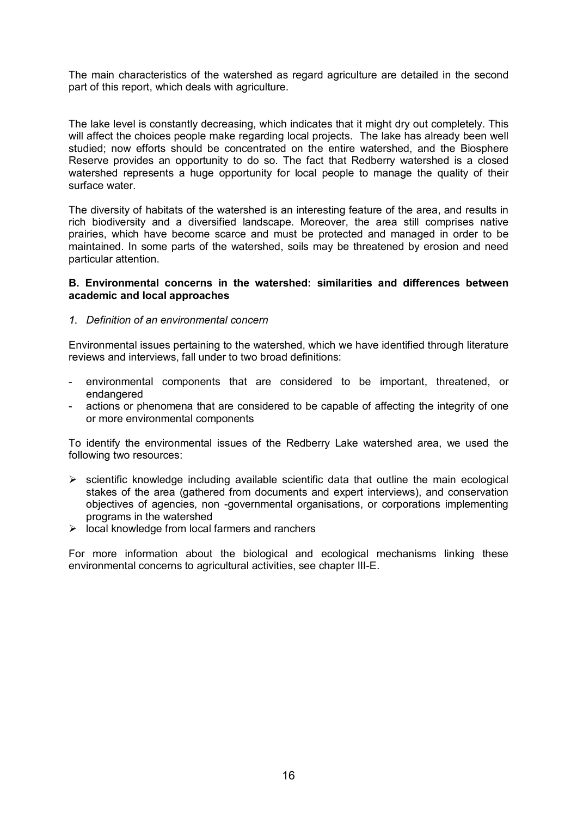The main characteristics of the watershed as regard agriculture are detailed in the second part of this report, which deals with agriculture.

The lake level is constantly decreasing, which indicates that it might dry out completely. This will affect the choices people make regarding local projects. The lake has already been well studied; now efforts should be concentrated on the entire watershed, and the Biosphere Reserve provides an opportunity to do so. The fact that Redberry watershed is a closed watershed represents a huge opportunity for local people to manage the quality of their surface water.

The diversity of habitats of the watershed is an interesting feature of the area, and results in rich biodiversity and a diversified landscape. Moreover, the area still comprises native prairies, which have become scarce and must be protected and managed in order to be maintained. In some parts of the watershed, soils may be threatened by erosion and need particular attention.

#### **B. Environmental concerns in the watershed: similarities and differences between academic and local approaches**

#### *1. Definition of an environmental concern*

Environmental issues pertaining to the watershed, which we have identified through literature reviews and interviews, fall under to two broad definitions:

- environmental components that are considered to be important, threatened, or endangered
- actions or phenomena that are considered to be capable of affecting the integrity of one or more environmental components

To identify the environmental issues of the Redberry Lake watershed area, we used the following two resources:

- $\triangleright$  scientific knowledge including available scientific data that outline the main ecological stakes of the area (gathered from documents and expert interviews), and conservation objectives of agencies, non -governmental organisations, or corporations implementing programs in the watershed
- $\triangleright$  local knowledge from local farmers and ranchers

For more information about the biological and ecological mechanisms linking these environmental concerns to agricultural activities, see chapter III-E.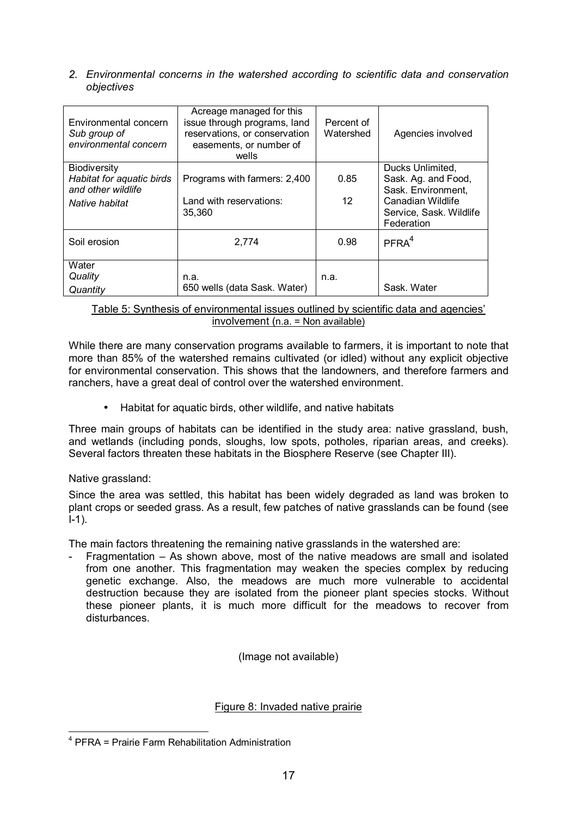*2. Environmental concerns in the watershed according to scientific data and conservation objectives* 

| Environmental concern<br>Sub group of<br>environmental concern                    | Acreage managed for this<br>issue through programs, land<br>reservations, or conservation<br>easements, or number of<br>wells | Percent of<br>Watershed   | Agencies involved                                                                                                           |
|-----------------------------------------------------------------------------------|-------------------------------------------------------------------------------------------------------------------------------|---------------------------|-----------------------------------------------------------------------------------------------------------------------------|
| Biodiversity<br>Habitat for aquatic birds<br>and other wildlife<br>Native habitat | Programs with farmers: 2,400<br>Land with reservations:<br>35,360                                                             | 0.85<br>$12 \overline{ }$ | Ducks Unlimited,<br>Sask. Ag. and Food,<br>Sask. Environment,<br>Canadian Wildlife<br>Service, Sask. Wildlife<br>Federation |
| Soil erosion                                                                      | 2,774                                                                                                                         | 0.98                      | PFRA <sup>4</sup>                                                                                                           |
| Water<br>Quality<br>Quantity                                                      | n.a.<br>650 wells (data Sask. Water)                                                                                          | n.a.                      | Sask. Water                                                                                                                 |

## Table 5: Synthesis of environmental issues outlined by scientific data and agencies' involvement (n.a. = Non available)

While there are many conservation programs available to farmers, it is important to note that more than 85% of the watershed remains cultivated (or idled) without any explicit objective for environmental conservation. This shows that the landowners, and therefore farmers and ranchers, have a great deal of control over the watershed environment.

• Habitat for aquatic birds, other wildlife, and native habitats

Three main groups of habitats can be identified in the study area: native grassland, bush, and wetlands (including ponds, sloughs, low spots, potholes, riparian areas, and creeks). Several factors threaten these habitats in the Biosphere Reserve (see Chapter III).

## Native grassland:

Since the area was settled, this habitat has been widely degraded as land was broken to plant crops or seeded grass. As a result, few patches of native grasslands can be found (see  $I-1$ ).

The main factors threatening the remaining native grasslands in the watershed are:

Fragmentation  $-$  As shown above, most of the native meadows are small and isolated from one another. This fragmentation may weaken the species complex by reducing genetic exchange. Also, the meadows are much more vulnerable to accidental destruction because they are isolated from the pioneer plant species stocks. Without these pioneer plants, it is much more difficult for the meadows to recover from disturbances.

(Image not available)

## Figure 8: Invaded native prairie

l <sup>4</sup> PFRA = Prairie Farm Rehabilitation Administration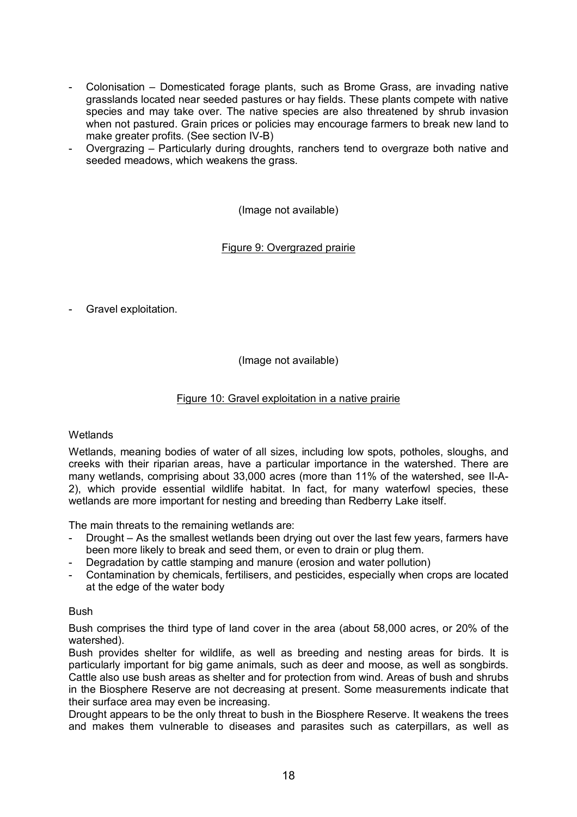- Colonisation Domesticated forage plants, such as Brome Grass, are invading native grasslands located near seeded pastures or hay fields. These plants compete with native species and may take over. The native species are also threatened by shrub invasion when not pastured. Grain prices or policies may encourage farmers to break new land to make greater profits. (See section IV-B)
- Overgrazing Particularly during droughts, ranchers tend to overgraze both native and seeded meadows, which weakens the grass.

(Image not available)

## Figure 9: Overgrazed prairie

- Gravel exploitation.

(Image not available)

## Figure 10: Gravel exploitation in a native prairie

## **Wetlands**

Wetlands, meaning bodies of water of all sizes, including low spots, potholes, sloughs, and creeks with their riparian areas, have a particular importance in the watershed. There are many wetlands, comprising about 33,000 acres (more than 11% of the watershed, see II-A-2), which provide essential wildlife habitat. In fact, for many waterfowl species, these wetlands are more important for nesting and breeding than Redberry Lake itself.

The main threats to the remaining wetlands are:

- Drought As the smallest wetlands been drying out over the last few years, farmers have been more likely to break and seed them, or even to drain or plug them.
- Degradation by cattle stamping and manure (erosion and water pollution)
- Contamination by chemicals, fertilisers, and pesticides, especially when crops are located at the edge of the water body

## Bush

Bush comprises the third type of land cover in the area (about 58,000 acres, or 20% of the watershed).

Bush provides shelter for wildlife, as well as breeding and nesting areas for birds. It is particularly important for big game animals, such as deer and moose, as well as songbirds. Cattle also use bush areas as shelter and for protection from wind. Areas of bush and shrubs in the Biosphere Reserve are not decreasing at present. Some measurements indicate that their surface area may even be increasing.

Drought appears to be the only threat to bush in the Biosphere Reserve. It weakens the trees and makes them vulnerable to diseases and parasites such as caterpillars, as well as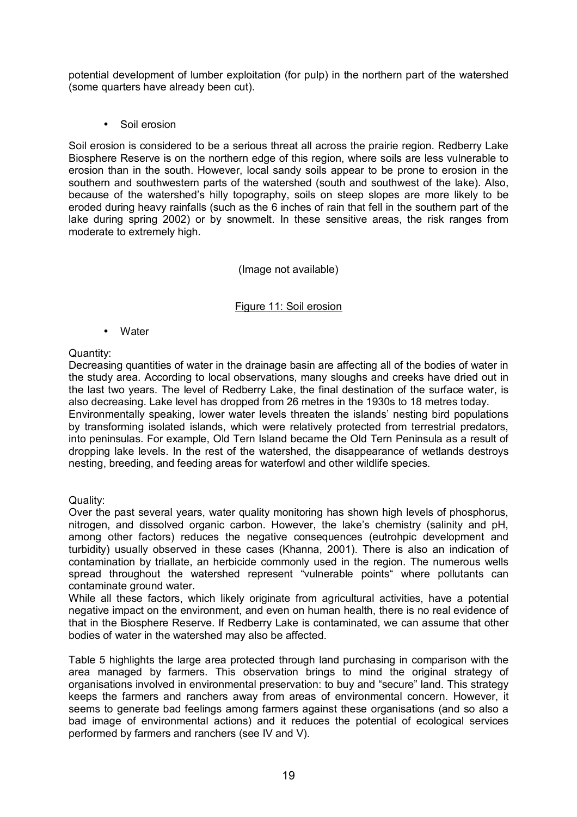potential development of lumber exploitation (for pulp) in the northern part of the watershed (some quarters have already been cut).

• Soil erosion

Soil erosion is considered to be a serious threat all across the prairie region. Redberry Lake Biosphere Reserve is on the northern edge of this region, where soils are less vulnerable to erosion than in the south. However, local sandy soils appear to be prone to erosion in the southern and southwestern parts of the watershed (south and southwest of the lake). Also, because of the watershed's hilly topography, soils on steep slopes are more likely to be eroded during heavy rainfalls (such as the 6 inches of rain that fell in the southern part of the lake during spring 2002) or by snowmelt. In these sensitive areas, the risk ranges from moderate to extremely high.

(Image not available)

Figure 11: Soil erosion

• Water

Quantity:

Decreasing quantities of water in the drainage basin are affecting all of the bodies of water in the study area. According to local observations, many sloughs and creeks have dried out in the last two years. The level of Redberry Lake, the final destination of the surface water, is also decreasing. Lake level has dropped from 26 metres in the 1930s to 18 metres today. Environmentally speaking, lower water levels threaten the islands' nesting bird populations by transforming isolated islands, which were relatively protected from terrestrial predators, into peninsulas. For example, Old Tern Island became the Old Tern Peninsula as a result of dropping lake levels. In the rest of the watershed, the disappearance of wetlands destroys nesting, breeding, and feeding areas for waterfowl and other wildlife species.

Quality:

Over the past several years, water quality monitoring has shown high levels of phosphorus, nitrogen, and dissolved organic carbon. However, the lake's chemistry (salinity and pH, among other factors) reduces the negative consequences (eutrohpic development and turbidity) usually observed in these cases (Khanna, 2001). There is also an indication of contamination by triallate, an herbicide commonly used in the region. The numerous wells spread throughout the watershed represent "vulnerable points" where pollutants can contaminate ground water.

While all these factors, which likely originate from agricultural activities, have a potential negative impact on the environment, and even on human health, there is no real evidence of that in the Biosphere Reserve. If Redberry Lake is contaminated, we can assume that other bodies of water in the watershed may also be affected.

Table 5 highlights the large area protected through land purchasing in comparison with the area managed by farmers. This observation brings to mind the original strategy of organisations involved in environmental preservation: to buy and "secure" land. This strategy keeps the farmers and ranchers away from areas of environmental concern. However, it seems to generate bad feelings among farmers against these organisations (and so also a bad image of environmental actions) and it reduces the potential of ecological services performed by farmers and ranchers (see IV and V).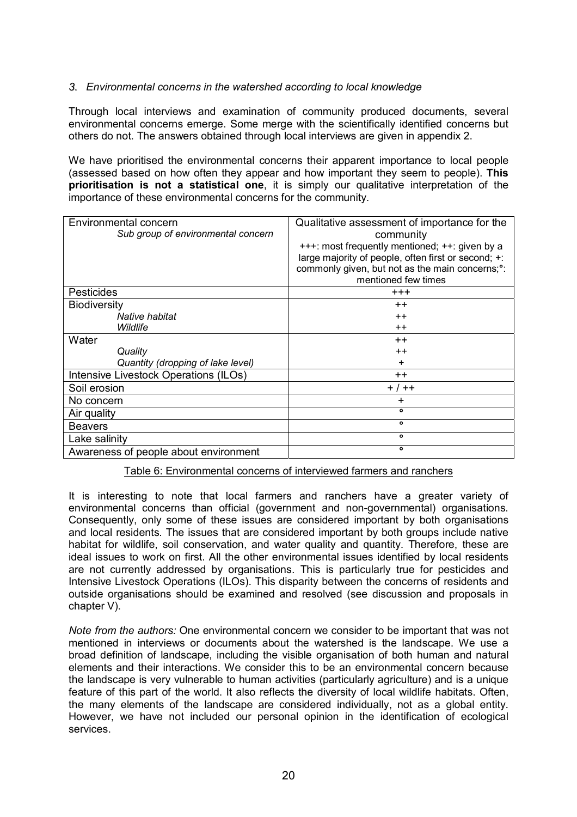## *3. Environmental concerns in the watershed according to local knowledge*

Through local interviews and examination of community produced documents, several environmental concerns emerge. Some merge with the scientifically identified concerns but others do not. The answers obtained through local interviews are given in appendix 2.

We have prioritised the environmental concerns their apparent importance to local people (assessed based on how often they appear and how important they seem to people). **This prioritisation is not a statistical one**, it is simply our qualitative interpretation of the importance of these environmental concerns for the community.

| Environmental concern<br>Sub group of environmental concern | Qualitative assessment of importance for the<br>community<br>+++: most frequently mentioned; ++: given by a<br>large majority of people, often first or second; +: |
|-------------------------------------------------------------|--------------------------------------------------------------------------------------------------------------------------------------------------------------------|
|                                                             | commonly given, but not as the main concerns; <sup>o</sup> :<br>mentioned few times                                                                                |
| <b>Pesticides</b>                                           | $^{+++}$                                                                                                                                                           |
| <b>Biodiversity</b>                                         | $++$                                                                                                                                                               |
| Native habitat                                              | $^{++}$                                                                                                                                                            |
| Wildlife                                                    | $++$                                                                                                                                                               |
| Water                                                       | $++$                                                                                                                                                               |
| Quality                                                     | $++$                                                                                                                                                               |
| Quantity (dropping of lake level)                           | ٠                                                                                                                                                                  |
| Intensive Livestock Operations (ILOs)                       | $^{\mathrm{+}}$                                                                                                                                                    |
| Soil erosion                                                | $+ / + +$                                                                                                                                                          |
| No concern                                                  | +                                                                                                                                                                  |
| Air quality                                                 | $\bullet$                                                                                                                                                          |
| <b>Beavers</b>                                              | $\bullet$                                                                                                                                                          |
| Lake salinity                                               | ۰                                                                                                                                                                  |
| Awareness of people about environment                       | $\bullet$                                                                                                                                                          |

Table 6: Environmental concerns of interviewed farmers and ranchers

It is interesting to note that local farmers and ranchers have a greater variety of environmental concerns than official (government and non-governmental) organisations. Consequently, only some of these issues are considered important by both organisations and local residents. The issues that are considered important by both groups include native habitat for wildlife, soil conservation, and water quality and quantity. Therefore, these are ideal issues to work on first. All the other environmental issues identified by local residents are not currently addressed by organisations. This is particularly true for pesticides and Intensive Livestock Operations (ILOs). This disparity between the concerns of residents and outside organisations should be examined and resolved (see discussion and proposals in chapter V).

*Note from the authors:* One environmental concern we consider to be important that was not mentioned in interviews or documents about the watershed is the landscape. We use a broad definition of landscape, including the visible organisation of both human and natural elements and their interactions. We consider this to be an environmental concern because the landscape is very vulnerable to human activities (particularly agriculture) and is a unique feature of this part of the world. It also reflects the diversity of local wildlife habitats. Often, the many elements of the landscape are considered individually, not as a global entity. However, we have not included our personal opinion in the identification of ecological services.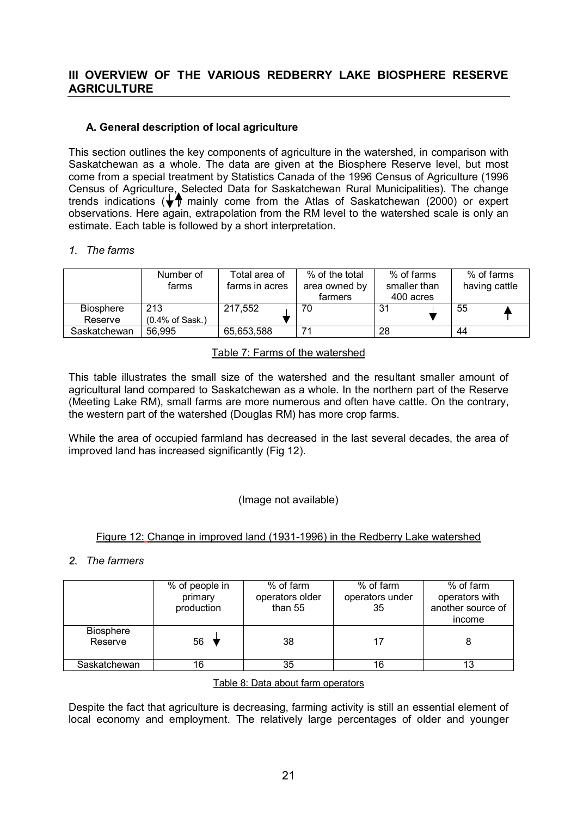## **III OVERVIEW OF THE VARIOUS REDBERRY LAKE BIOSPHERE RESERVE AGRICULTURE**

## **A. General description of local agriculture**

This section outlines the key components of agriculture in the watershed, in comparison with Saskatchewan as a whole. The data are given at the Biosphere Reserve level, but most come from a special treatment by Statistics Canada of the 1996 Census of Agriculture (1996 Census of Agriculture, Selected Data for Saskatchewan Rural Municipalities). The change trends indications ( $\sqrt{T}$  mainly come from the Atlas of Saskatchewan (2000) or expert observations. Here again, extrapolation from the RM level to the watershed scale is only an estimate. Each table is followed by a short interpretation.

## *1. The farms*

|                  | Number of<br>farms          | Total area of<br>farms in acres | % of the total<br>area owned by<br>farmers | % of farms<br>smaller than<br>400 acres | % of farms<br>having cattle |
|------------------|-----------------------------|---------------------------------|--------------------------------------------|-----------------------------------------|-----------------------------|
| <b>Biosphere</b> | 213                         | 217.552                         | 70                                         | 31                                      | 55                          |
| Reserve          | $(0.4\% \text{ of } Sask.)$ |                                 |                                            |                                         |                             |
| Saskatchewan     | 56,995                      | 65,653,588                      | 74                                         | 28                                      | 44                          |

## Table 7: Farms of the watershed

This table illustrates the small size of the watershed and the resultant smaller amount of agricultural land compared to Saskatchewan as a whole. In the northern part of the Reserve (Meeting Lake RM), small farms are more numerous and often have cattle. On the contrary, the western part of the watershed (Douglas RM) has more crop farms.

While the area of occupied farmland has decreased in the last several decades, the area of improved land has increased significantly (Fig 12).

## (Image not available)

## Figure 12: Change in improved land (1931-1996) in the Redberry Lake watershed

## *2. The farmers*

|                             | % of people in<br>primary<br>production | % of farm<br>operators older<br>than 55 | % of farm<br>operators under<br>35 | % of farm<br>operators with<br>another source of<br>income |
|-----------------------------|-----------------------------------------|-----------------------------------------|------------------------------------|------------------------------------------------------------|
| <b>Biosphere</b><br>Reserve | 56                                      | 38                                      | 17                                 |                                                            |
| Saskatchewan                | 16                                      | 35                                      | 16                                 |                                                            |

## Table 8: Data about farm operators

Despite the fact that agriculture is decreasing, farming activity is still an essential element of local economy and employment. The relatively large percentages of older and younger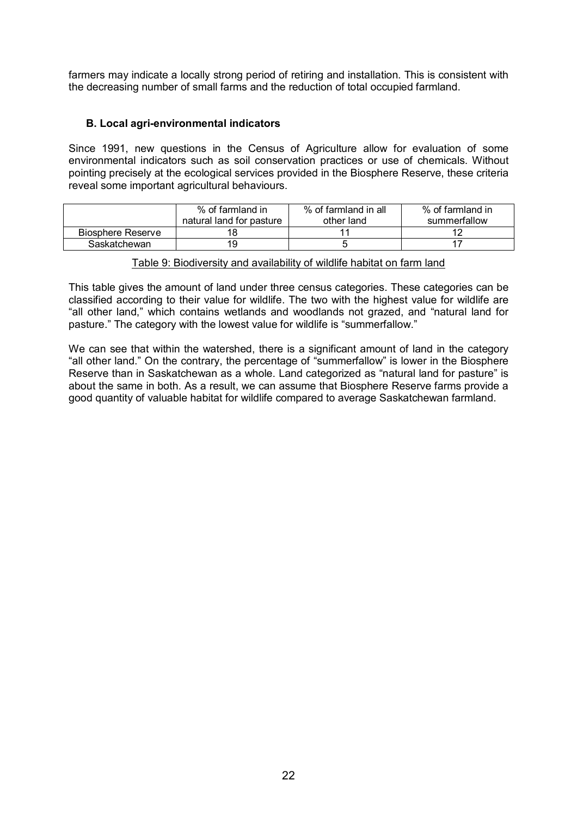farmers may indicate a locally strong period of retiring and installation. This is consistent with the decreasing number of small farms and the reduction of total occupied farmland.

## **B. Local agri-environmental indicators**

Since 1991, new questions in the Census of Agriculture allow for evaluation of some environmental indicators such as soil conservation practices or use of chemicals. Without pointing precisely at the ecological services provided in the Biosphere Reserve, these criteria reveal some important agricultural behaviours.

|                   | % of farmland in<br>natural land for pasture | % of farmland in all<br>other land | % of farmland in<br>summerfallow |
|-------------------|----------------------------------------------|------------------------------------|----------------------------------|
| Biosphere Reserve |                                              |                                    |                                  |
| Saskatchewan      | 19                                           |                                    |                                  |

Table 9: Biodiversity and availability of wildlife habitat on farm land

This table gives the amount of land under three census categories. These categories can be classified according to their value for wildlife. The two with the highest value for wildlife are "all other land," which contains wetlands and woodlands not grazed, and "natural land for pasture." The category with the lowest value for wildlife is "summerfallow."

We can see that within the watershed, there is a significant amount of land in the category "all other land." On the contrary, the percentage of "summerfallow" is lower in the Biosphere Reserve than in Saskatchewan as a whole. Land categorized as "natural land for pasture" is about the same in both. As a result, we can assume that Biosphere Reserve farms provide a good quantity of valuable habitat for wildlife compared to average Saskatchewan farmland.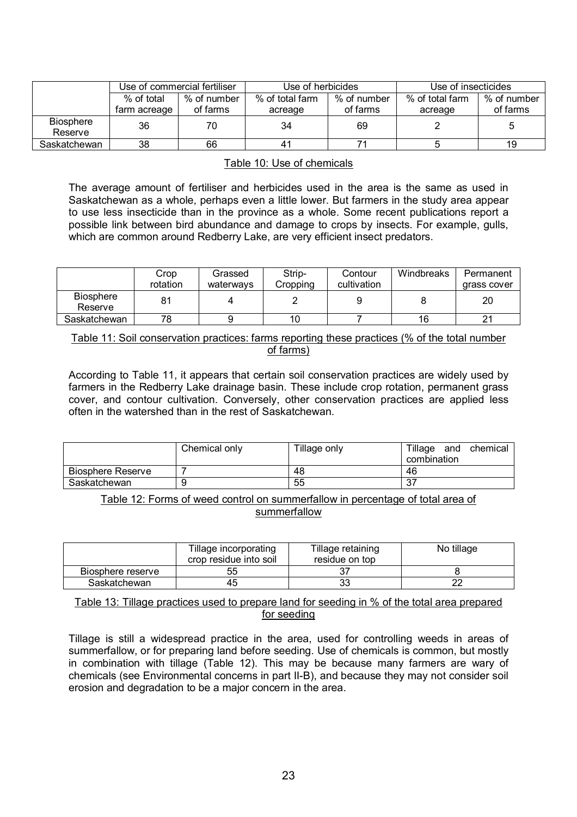|                             |              | Use of commercial fertiliser | Use of herbicides |             | Use of insecticides |             |
|-----------------------------|--------------|------------------------------|-------------------|-------------|---------------------|-------------|
|                             | % of total   | % of number                  | % of total farm   | % of number | % of total farm     | % of number |
|                             | farm acreage | of farms                     | acreage           | of farms    | acreage             | of farms    |
| <b>Biosphere</b><br>Reserve | 36           | 70                           | 34                | 69          |                     | 5           |
| Saskatchewan                | 38           | 66                           |                   |             |                     | 19          |

#### Table 10: Use of chemicals

The average amount of fertiliser and herbicides used in the area is the same as used in Saskatchewan as a whole, perhaps even a little lower. But farmers in the study area appear to use less insecticide than in the province as a whole. Some recent publications report a possible link between bird abundance and damage to crops by insects. For example, gulls, which are common around Redberry Lake, are very efficient insect predators.

|                             | -ropث<br>rotation | Grassed<br>waterways | Strip-<br>Cropping | Contour<br>cultivation | Windbreaks | Permanent<br>grass cover |
|-----------------------------|-------------------|----------------------|--------------------|------------------------|------------|--------------------------|
| <b>Biosphere</b><br>Reserve |                   |                      |                    |                        |            | 20                       |
| Saskatchewan                | 78                |                      | 10                 |                        | 16         |                          |

Table 11: Soil conservation practices: farms reporting these practices (% of the total number of farms)

According to Table 11, it appears that certain soil conservation practices are widely used by farmers in the Redberry Lake drainage basin. These include crop rotation, permanent grass cover, and contour cultivation. Conversely, other conservation practices are applied less often in the watershed than in the rest of Saskatchewan.

|                          | Chemical only | Tillage only | Tillage<br>chemical<br>and |
|--------------------------|---------------|--------------|----------------------------|
|                          |               |              | combination                |
| <b>Biosphere Reserve</b> |               | 48           | 46                         |
| Saskatchewan             |               | 55           | ، ب                        |

Table 12: Forms of weed control on summerfallow in percentage of total area of summerfallow

|                   | Tillage incorporating<br>crop residue into soil | Tillage retaining<br>residue on top | No tillage |
|-------------------|-------------------------------------------------|-------------------------------------|------------|
| Biosphere reserve | 55                                              |                                     |            |
| Saskatchewan      | 45                                              | 33                                  |            |

Table 13: Tillage practices used to prepare land for seeding in % of the total area prepared for seeding

Tillage is still a widespread practice in the area, used for controlling weeds in areas of summerfallow, or for preparing land before seeding. Use of chemicals is common, but mostly in combination with tillage (Table 12). This may be because many farmers are wary of chemicals (see Environmental concerns in part II-B), and because they may not consider soil erosion and degradation to be a major concern in the area.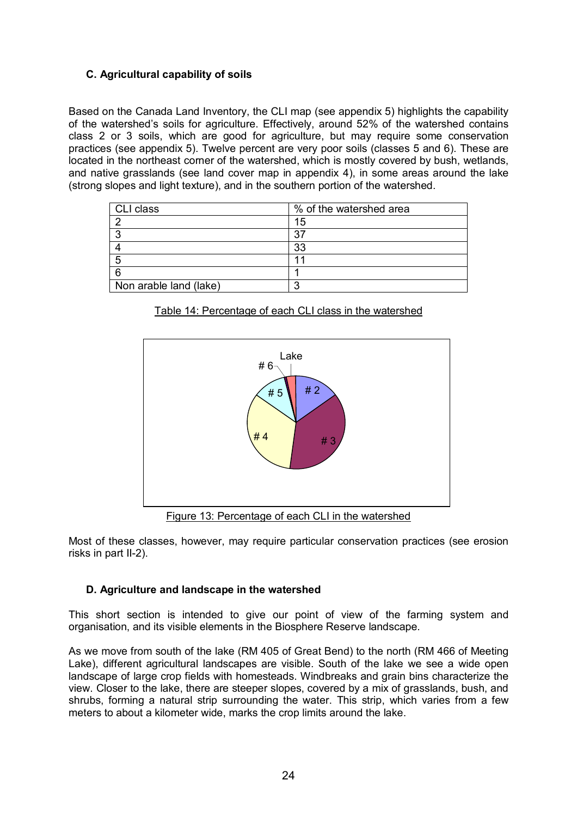## **C. Agricultural capability of soils**

Based on the Canada Land Inventory, the CLI map (see appendix 5) highlights the capability of the watershedís soils for agriculture. Effectively, around 52% of the watershed contains class 2 or 3 soils, which are good for agriculture, but may require some conservation practices (see appendix 5). Twelve percent are very poor soils (classes 5 and 6). These are located in the northeast corner of the watershed, which is mostly covered by bush, wetlands, and native grasslands (see land cover map in appendix 4), in some areas around the lake (strong slopes and light texture), and in the southern portion of the watershed.

| <b>CLI class</b>       | % of the watershed area |
|------------------------|-------------------------|
|                        | 15                      |
|                        | 37                      |
|                        | 33                      |
|                        |                         |
|                        |                         |
| Non arable land (lake) |                         |





Figure 13: Percentage of each CLI in the watershed

Most of these classes, however, may require particular conservation practices (see erosion risks in part II-2).

## **D. Agriculture and landscape in the watershed**

This short section is intended to give our point of view of the farming system and organisation, and its visible elements in the Biosphere Reserve landscape.

As we move from south of the lake (RM 405 of Great Bend) to the north (RM 466 of Meeting Lake), different agricultural landscapes are visible. South of the lake we see a wide open landscape of large crop fields with homesteads. Windbreaks and grain bins characterize the view. Closer to the lake, there are steeper slopes, covered by a mix of grasslands, bush, and shrubs, forming a natural strip surrounding the water. This strip, which varies from a few meters to about a kilometer wide, marks the crop limits around the lake.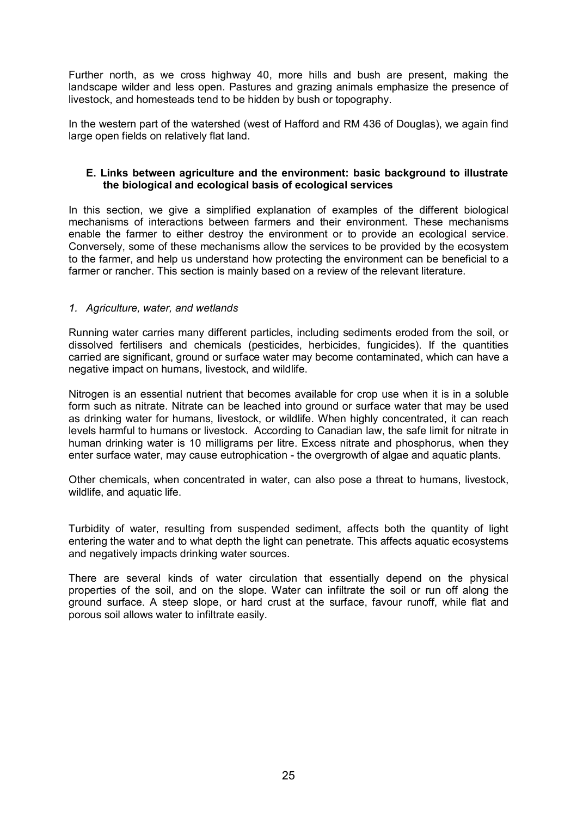Further north, as we cross highway 40, more hills and bush are present, making the landscape wilder and less open. Pastures and grazing animals emphasize the presence of livestock, and homesteads tend to be hidden by bush or topography.

In the western part of the watershed (west of Hafford and RM 436 of Douglas), we again find large open fields on relatively flat land.

### **E. Links between agriculture and the environment: basic background to illustrate the biological and ecological basis of ecological services**

In this section, we give a simplified explanation of examples of the different biological mechanisms of interactions between farmers and their environment. These mechanisms enable the farmer to either destroy the environment or to provide an ecological service. Conversely, some of these mechanisms allow the services to be provided by the ecosystem to the farmer, and help us understand how protecting the environment can be beneficial to a farmer or rancher. This section is mainly based on a review of the relevant literature.

## *1. Agriculture, water, and wetlands*

Running water carries many different particles, including sediments eroded from the soil, or dissolved fertilisers and chemicals (pesticides, herbicides, fungicides). If the quantities carried are significant, ground or surface water may become contaminated, which can have a negative impact on humans, livestock, and wildlife.

Nitrogen is an essential nutrient that becomes available for crop use when it is in a soluble form such as nitrate. Nitrate can be leached into ground or surface water that may be used as drinking water for humans, livestock, or wildlife. When highly concentrated, it can reach levels harmful to humans or livestock. According to Canadian law, the safe limit for nitrate in human drinking water is 10 milligrams per litre. Excess nitrate and phosphorus, when they enter surface water, may cause eutrophication - the overgrowth of algae and aquatic plants.

Other chemicals, when concentrated in water, can also pose a threat to humans, livestock, wildlife, and aquatic life.

Turbidity of water, resulting from suspended sediment, affects both the quantity of light entering the water and to what depth the light can penetrate. This affects aquatic ecosystems and negatively impacts drinking water sources.

There are several kinds of water circulation that essentially depend on the physical properties of the soil, and on the slope. Water can infiltrate the soil or run off along the ground surface. A steep slope, or hard crust at the surface, favour runoff, while flat and porous soil allows water to infiltrate easily.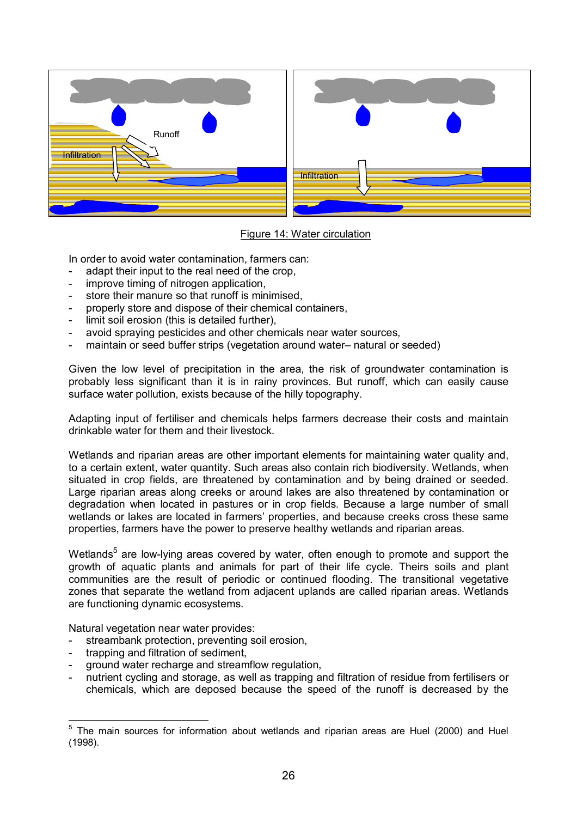

## Figure 14: Water circulation

In order to avoid water contamination, farmers can:

- adapt their input to the real need of the crop,
- improve timing of nitrogen application,
- store their manure so that runoff is minimised,
- properly store and dispose of their chemical containers,
- limit soil erosion (this is detailed further).
- avoid spraying pesticides and other chemicals near water sources,
- maintain or seed buffer strips (vegetation around water- natural or seeded)

Given the low level of precipitation in the area, the risk of groundwater contamination is probably less significant than it is in rainy provinces. But runoff, which can easily cause surface water pollution, exists because of the hilly topography.

Adapting input of fertiliser and chemicals helps farmers decrease their costs and maintain drinkable water for them and their livestock.

Wetlands and riparian areas are other important elements for maintaining water quality and, to a certain extent, water quantity. Such areas also contain rich biodiversity. Wetlands, when situated in crop fields, are threatened by contamination and by being drained or seeded. Large riparian areas along creeks or around lakes are also threatened by contamination or degradation when located in pastures or in crop fields. Because a large number of small wetlands or lakes are located in farmers' properties, and because creeks cross these same properties, farmers have the power to preserve healthy wetlands and riparian areas.

Wetlands<sup>5</sup> are low-lying areas covered by water, often enough to promote and support the growth of aquatic plants and animals for part of their life cycle. Theirs soils and plant communities are the result of periodic or continued flooding. The transitional vegetative zones that separate the wetland from adjacent uplands are called riparian areas. Wetlands are functioning dynamic ecosystems.

Natural vegetation near water provides:

- streambank protection, preventing soil erosion,
- trapping and filtration of sediment,
- ground water recharge and streamflow regulation,
- nutrient cycling and storage, as well as trapping and filtration of residue from fertilisers or chemicals, which are deposed because the speed of the runoff is decreased by the

**EXALLE 12**<br>
<sup>5</sup> The main sources for information about wetlands and riparian areas are Huel (2000) and Huel (1998).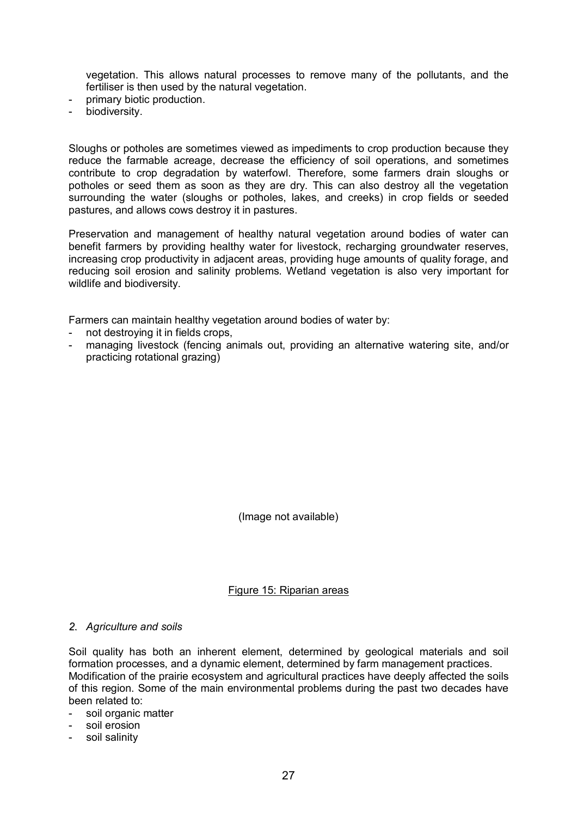vegetation. This allows natural processes to remove many of the pollutants, and the fertiliser is then used by the natural vegetation.

- primary biotic production.
- biodiversity.

Sloughs or potholes are sometimes viewed as impediments to crop production because they reduce the farmable acreage, decrease the efficiency of soil operations, and sometimes contribute to crop degradation by waterfowl. Therefore, some farmers drain sloughs or potholes or seed them as soon as they are dry. This can also destroy all the vegetation surrounding the water (sloughs or potholes, lakes, and creeks) in crop fields or seeded pastures, and allows cows destroy it in pastures.

Preservation and management of healthy natural vegetation around bodies of water can benefit farmers by providing healthy water for livestock, recharging groundwater reserves, increasing crop productivity in adjacent areas, providing huge amounts of quality forage, and reducing soil erosion and salinity problems. Wetland vegetation is also very important for wildlife and biodiversity.

Farmers can maintain healthy vegetation around bodies of water by:

- not destroying it in fields crops,
- managing livestock (fencing animals out, providing an alternative watering site, and/or practicing rotational grazing)

(Image not available)

Figure 15: Riparian areas

#### *2. Agriculture and soils*

Soil quality has both an inherent element, determined by geological materials and soil formation processes, and a dynamic element, determined by farm management practices. Modification of the prairie ecosystem and agricultural practices have deeply affected the soils of this region. Some of the main environmental problems during the past two decades have been related to:

- soil organic matter
- soil erosion
- soil salinity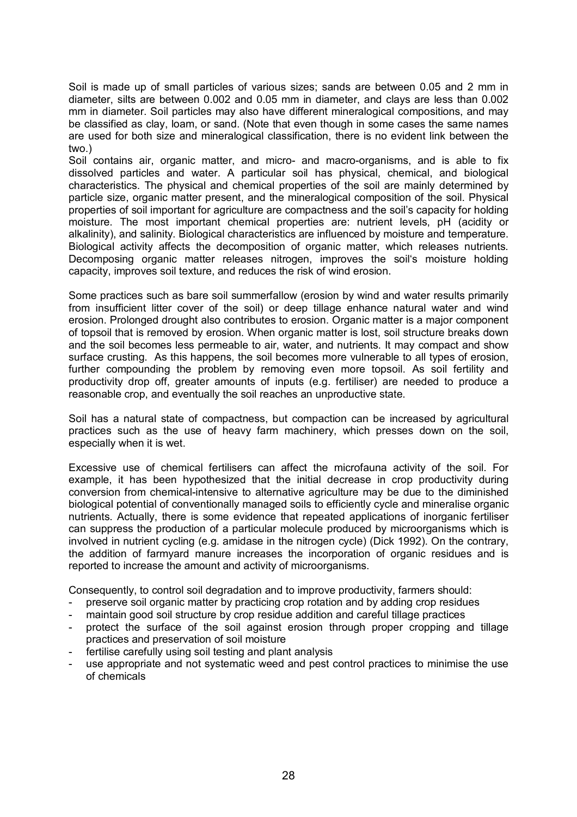Soil is made up of small particles of various sizes; sands are between 0.05 and 2 mm in diameter, silts are between 0.002 and 0.05 mm in diameter, and clays are less than 0.002 mm in diameter. Soil particles may also have different mineralogical compositions, and may be classified as clay, loam, or sand. (Note that even though in some cases the same names are used for both size and mineralogical classification, there is no evident link between the two.)

Soil contains air, organic matter, and micro- and macro-organisms, and is able to fix dissolved particles and water. A particular soil has physical, chemical, and biological characteristics. The physical and chemical properties of the soil are mainly determined by particle size, organic matter present, and the mineralogical composition of the soil. Physical properties of soil important for agriculture are compactness and the soil's capacity for holding moisture. The most important chemical properties are: nutrient levels, pH (acidity or alkalinity), and salinity. Biological characteristics are influenced by moisture and temperature. Biological activity affects the decomposition of organic matter, which releases nutrients. Decomposing organic matter releases nitrogen, improves the soil's moisture holding capacity, improves soil texture, and reduces the risk of wind erosion.

Some practices such as bare soil summerfallow (erosion by wind and water results primarily from insufficient litter cover of the soil) or deep tillage enhance natural water and wind erosion. Prolonged drought also contributes to erosion. Organic matter is a major component of topsoil that is removed by erosion. When organic matter is lost, soil structure breaks down and the soil becomes less permeable to air, water, and nutrients. It may compact and show surface crusting. As this happens, the soil becomes more vulnerable to all types of erosion, further compounding the problem by removing even more topsoil. As soil fertility and productivity drop off, greater amounts of inputs (e.g. fertiliser) are needed to produce a reasonable crop, and eventually the soil reaches an unproductive state.

Soil has a natural state of compactness, but compaction can be increased by agricultural practices such as the use of heavy farm machinery, which presses down on the soil, especially when it is wet.

Excessive use of chemical fertilisers can affect the microfauna activity of the soil. For example, it has been hypothesized that the initial decrease in crop productivity during conversion from chemical-intensive to alternative agriculture may be due to the diminished biological potential of conventionally managed soils to efficiently cycle and mineralise organic nutrients. Actually, there is some evidence that repeated applications of inorganic fertiliser can suppress the production of a particular molecule produced by microorganisms which is involved in nutrient cycling (e.g. amidase in the nitrogen cycle) (Dick 1992). On the contrary, the addition of farmyard manure increases the incorporation of organic residues and is reported to increase the amount and activity of microorganisms.

Consequently, to control soil degradation and to improve productivity, farmers should:

- preserve soil organic matter by practicing crop rotation and by adding crop residues
- maintain good soil structure by crop residue addition and careful tillage practices
- protect the surface of the soil against erosion through proper cropping and tillage practices and preservation of soil moisture
- fertilise carefully using soil testing and plant analysis
- use appropriate and not systematic weed and pest control practices to minimise the use of chemicals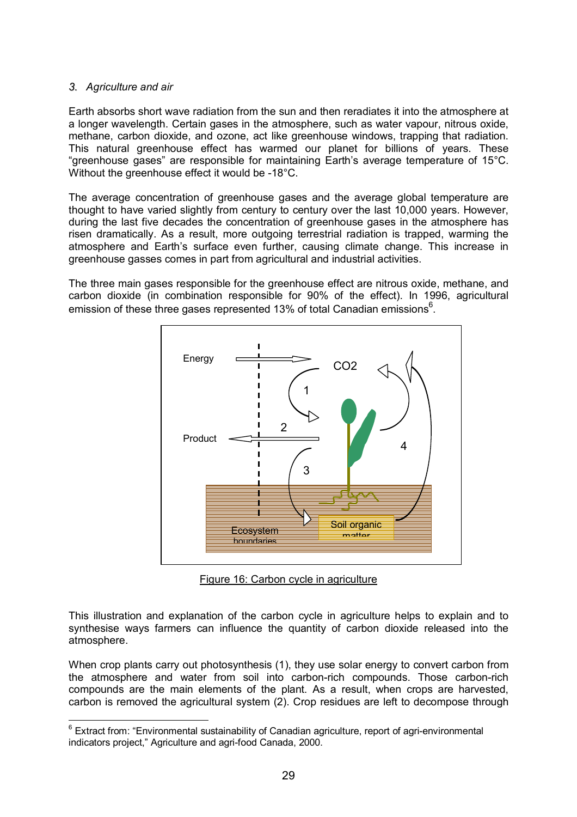## *3. Agriculture and air*

Earth absorbs short wave radiation from the sun and then reradiates it into the atmosphere at a longer wavelength. Certain gases in the atmosphere, such as water vapour, nitrous oxide, methane, carbon dioxide, and ozone, act like greenhouse windows, trapping that radiation. This natural greenhouse effect has warmed our planet for billions of years. These "greenhouse gases" are responsible for maintaining Earth's average temperature of  $15^{\circ}$ C. Without the greenhouse effect it would be -18°C.

The average concentration of greenhouse gases and the average global temperature are thought to have varied slightly from century to century over the last 10,000 years. However, during the last five decades the concentration of greenhouse gases in the atmosphere has risen dramatically. As a result, more outgoing terrestrial radiation is trapped, warming the atmosphere and Earth's surface even further, causing climate change. This increase in greenhouse gasses comes in part from agricultural and industrial activities.

The three main gases responsible for the greenhouse effect are nitrous oxide, methane, and carbon dioxide (in combination responsible for 90% of the effect). In 1996, agricultural emission of these three gases represented 13% of total Canadian emissions<sup>6</sup>.



Figure 16: Carbon cycle in agriculture

This illustration and explanation of the carbon cycle in agriculture helps to explain and to synthesise ways farmers can influence the quantity of carbon dioxide released into the atmosphere.

When crop plants carry out photosynthesis (1), they use solar energy to convert carbon from the atmosphere and water from soil into carbon-rich compounds. Those carbon-rich compounds are the main elements of the plant. As a result, when crops are harvested, carbon is removed the agricultural system (2). Crop residues are left to decompose through

 6 Extract from: ìEnvironmental sustainability of Canadian agriculture, report of agri-environmental indicators project," Agriculture and agri-food Canada, 2000.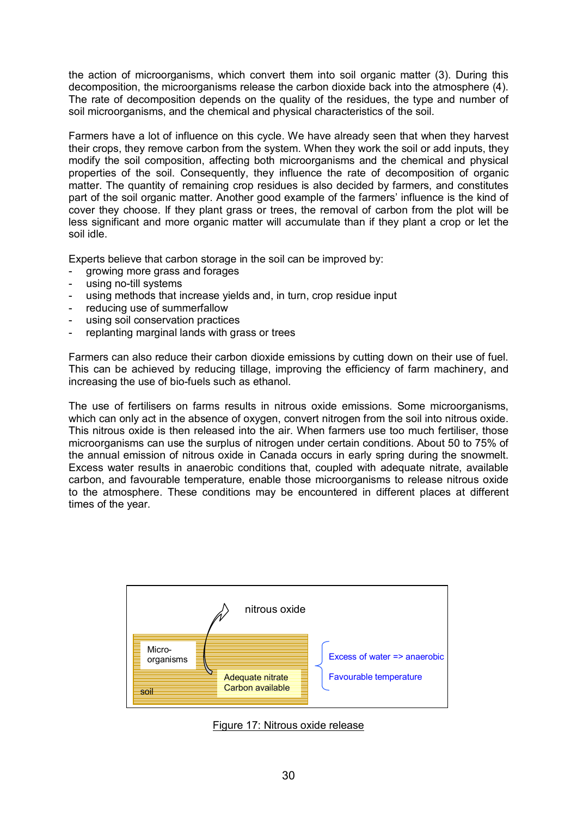the action of microorganisms, which convert them into soil organic matter (3). During this decomposition, the microorganisms release the carbon dioxide back into the atmosphere (4). The rate of decomposition depends on the quality of the residues, the type and number of soil microorganisms, and the chemical and physical characteristics of the soil.

Farmers have a lot of influence on this cycle. We have already seen that when they harvest their crops, they remove carbon from the system. When they work the soil or add inputs, they modify the soil composition, affecting both microorganisms and the chemical and physical properties of the soil. Consequently, they influence the rate of decomposition of organic matter. The quantity of remaining crop residues is also decided by farmers, and constitutes part of the soil organic matter. Another good example of the farmers' influence is the kind of cover they choose. If they plant grass or trees, the removal of carbon from the plot will be less significant and more organic matter will accumulate than if they plant a crop or let the soil idle.

Experts believe that carbon storage in the soil can be improved by:

- growing more grass and forages
- using no-till systems
- using methods that increase yields and, in turn, crop residue input
- reducing use of summerfallow
- using soil conservation practices
- replanting marginal lands with grass or trees

Farmers can also reduce their carbon dioxide emissions by cutting down on their use of fuel. This can be achieved by reducing tillage, improving the efficiency of farm machinery, and increasing the use of bio-fuels such as ethanol.

The use of fertilisers on farms results in nitrous oxide emissions. Some microorganisms, which can only act in the absence of oxygen, convert nitrogen from the soil into nitrous oxide. This nitrous oxide is then released into the air. When farmers use too much fertiliser, those microorganisms can use the surplus of nitrogen under certain conditions. About 50 to 75% of the annual emission of nitrous oxide in Canada occurs in early spring during the snowmelt. Excess water results in anaerobic conditions that, coupled with adequate nitrate, available carbon, and favourable temperature, enable those microorganisms to release nitrous oxide to the atmosphere. These conditions may be encountered in different places at different times of the year.



Figure 17: Nitrous oxide release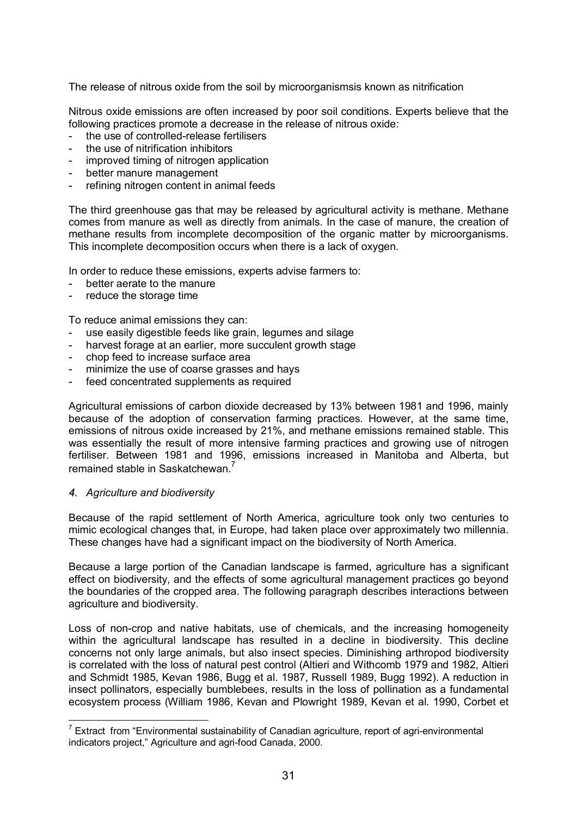The release of nitrous oxide from the soil by microorganismsis known as nitrification

Nitrous oxide emissions are often increased by poor soil conditions. Experts believe that the following practices promote a decrease in the release of nitrous oxide:

- the use of controlled-release fertilisers
- the use of nitrification inhibitors
- improved timing of nitrogen application
- better manure management
- refining nitrogen content in animal feeds

The third greenhouse gas that may be released by agricultural activity is methane. Methane comes from manure as well as directly from animals. In the case of manure, the creation of methane results from incomplete decomposition of the organic matter by microorganisms. This incomplete decomposition occurs when there is a lack of oxygen.

In order to reduce these emissions, experts advise farmers to:

- better aerate to the manure
- reduce the storage time

To reduce animal emissions they can:

- use easily digestible feeds like grain, legumes and silage
- harvest forage at an earlier, more succulent growth stage
- chop feed to increase surface area
- minimize the use of coarse grasses and hays
- feed concentrated supplements as required

Agricultural emissions of carbon dioxide decreased by 13% between 1981 and 1996, mainly because of the adoption of conservation farming practices. However, at the same time, emissions of nitrous oxide increased by 21%, and methane emissions remained stable. This was essentially the result of more intensive farming practices and growing use of nitrogen fertiliser. Between 1981 and 1996, emissions increased in Manitoba and Alberta, but remained stable in Saskatchewan.<sup>7</sup>

## *4. Agriculture and biodiversity*

Because of the rapid settlement of North America, agriculture took only two centuries to mimic ecological changes that, in Europe, had taken place over approximately two millennia. These changes have had a significant impact on the biodiversity of North America.

Because a large portion of the Canadian landscape is farmed, agriculture has a significant effect on biodiversity, and the effects of some agricultural management practices go beyond the boundaries of the cropped area. The following paragraph describes interactions between agriculture and biodiversity.

Loss of non-crop and native habitats, use of chemicals, and the increasing homogeneity within the agricultural landscape has resulted in a decline in biodiversity. This decline concerns not only large animals, but also insect species. Diminishing arthropod biodiversity is correlated with the loss of natural pest control (Altieri and Withcomb 1979 and 1982, Altieri and Schmidt 1985, Kevan 1986, Bugg et al. 1987, Russell 1989, Bugg 1992). A reduction in insect pollinators, especially bumblebees, results in the loss of pollination as a fundamental ecosystem process (William 1986, Kevan and Plowright 1989, Kevan et al. 1990, Corbet et

 7 Extract from ìEnvironmental sustainability of Canadian agriculture, report of agri-environmental indicators project," Agriculture and agri-food Canada, 2000.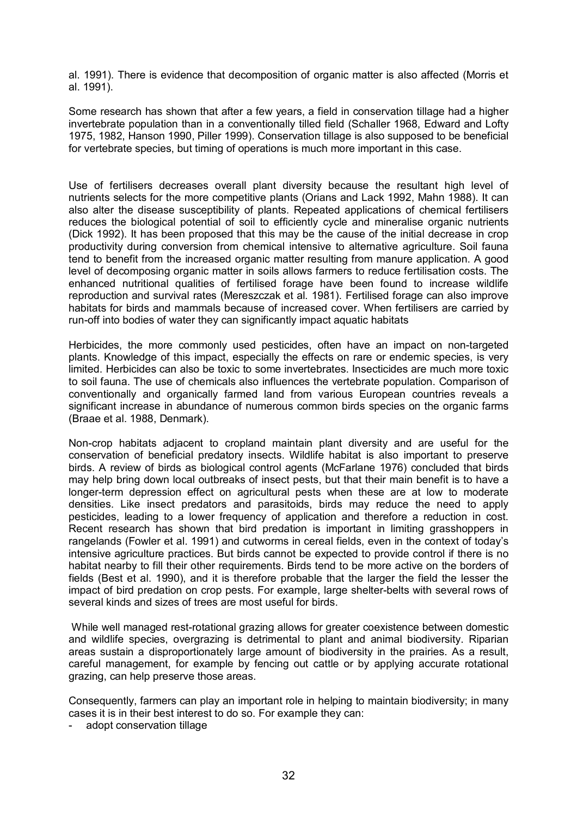al. 1991). There is evidence that decomposition of organic matter is also affected (Morris et al. 1991).

Some research has shown that after a few years, a field in conservation tillage had a higher invertebrate population than in a conventionally tilled field (Schaller 1968, Edward and Lofty 1975, 1982, Hanson 1990, Piller 1999). Conservation tillage is also supposed to be beneficial for vertebrate species, but timing of operations is much more important in this case.

Use of fertilisers decreases overall plant diversity because the resultant high level of nutrients selects for the more competitive plants (Orians and Lack 1992, Mahn 1988). It can also alter the disease susceptibility of plants. Repeated applications of chemical fertilisers reduces the biological potential of soil to efficiently cycle and mineralise organic nutrients (Dick 1992). It has been proposed that this may be the cause of the initial decrease in crop productivity during conversion from chemical intensive to alternative agriculture. Soil fauna tend to benefit from the increased organic matter resulting from manure application. A good level of decomposing organic matter in soils allows farmers to reduce fertilisation costs. The enhanced nutritional qualities of fertilised forage have been found to increase wildlife reproduction and survival rates (Mereszczak et al. 1981). Fertilised forage can also improve habitats for birds and mammals because of increased cover. When fertilisers are carried by run-off into bodies of water they can significantly impact aquatic habitats

Herbicides, the more commonly used pesticides, often have an impact on non-targeted plants. Knowledge of this impact, especially the effects on rare or endemic species, is very limited. Herbicides can also be toxic to some invertebrates. Insecticides are much more toxic to soil fauna. The use of chemicals also influences the vertebrate population. Comparison of conventionally and organically farmed land from various European countries reveals a significant increase in abundance of numerous common birds species on the organic farms (Braae et al. 1988, Denmark).

Non-crop habitats adjacent to cropland maintain plant diversity and are useful for the conservation of beneficial predatory insects. Wildlife habitat is also important to preserve birds. A review of birds as biological control agents (McFarlane 1976) concluded that birds may help bring down local outbreaks of insect pests, but that their main benefit is to have a longer-term depression effect on agricultural pests when these are at low to moderate densities. Like insect predators and parasitoids, birds may reduce the need to apply pesticides, leading to a lower frequency of application and therefore a reduction in cost. Recent research has shown that bird predation is important in limiting grasshoppers in rangelands (Fowler et al. 1991) and cutworms in cereal fields, even in the context of todayís intensive agriculture practices. But birds cannot be expected to provide control if there is no habitat nearby to fill their other requirements. Birds tend to be more active on the borders of fields (Best et al. 1990), and it is therefore probable that the larger the field the lesser the impact of bird predation on crop pests. For example, large shelter-belts with several rows of several kinds and sizes of trees are most useful for birds.

 While well managed rest-rotational grazing allows for greater coexistence between domestic and wildlife species, overgrazing is detrimental to plant and animal biodiversity. Riparian areas sustain a disproportionately large amount of biodiversity in the prairies. As a result, careful management, for example by fencing out cattle or by applying accurate rotational grazing, can help preserve those areas.

Consequently, farmers can play an important role in helping to maintain biodiversity; in many cases it is in their best interest to do so. For example they can:

adopt conservation tillage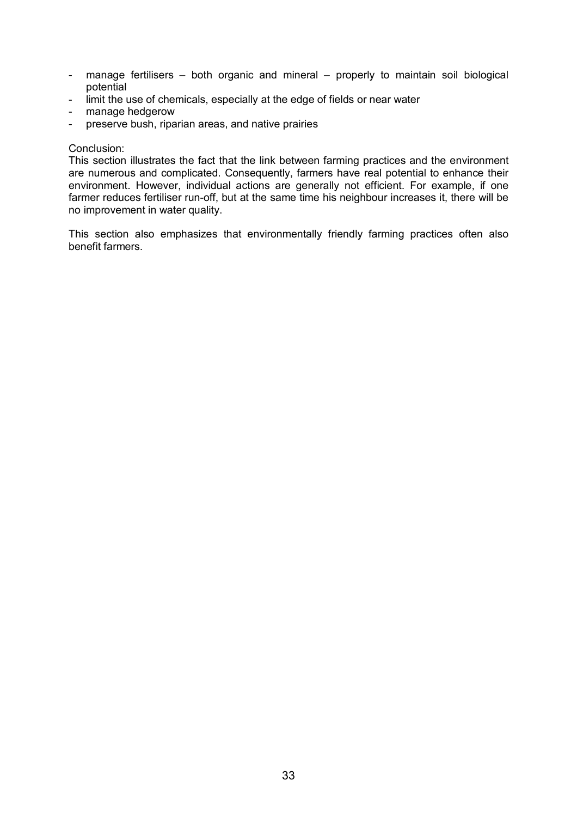- manage fertilisers both organic and mineral properly to maintain soil biological potential
- limit the use of chemicals, especially at the edge of fields or near water
- manage hedgerow
- preserve bush, riparian areas, and native prairies

#### Conclusion:

This section illustrates the fact that the link between farming practices and the environment are numerous and complicated. Consequently, farmers have real potential to enhance their environment. However, individual actions are generally not efficient. For example, if one farmer reduces fertiliser run-off, but at the same time his neighbour increases it, there will be no improvement in water quality.

This section also emphasizes that environmentally friendly farming practices often also benefit farmers.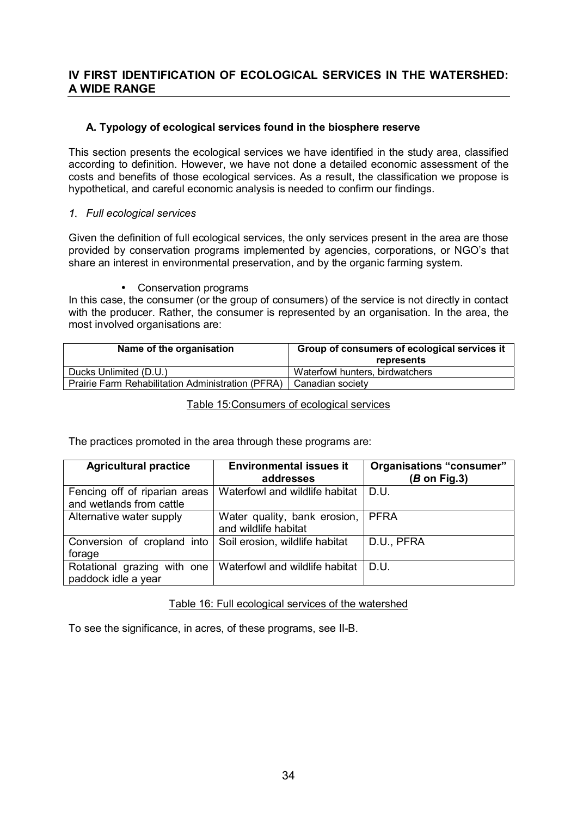## **IV FIRST IDENTIFICATION OF ECOLOGICAL SERVICES IN THE WATERSHED: A WIDE RANGE**

## **A. Typology of ecological services found in the biosphere reserve**

This section presents the ecological services we have identified in the study area, classified according to definition. However, we have not done a detailed economic assessment of the costs and benefits of those ecological services. As a result, the classification we propose is hypothetical, and careful economic analysis is needed to confirm our findings.

## *1. Full ecological services*

Given the definition of full ecological services, the only services present in the area are those provided by conservation programs implemented by agencies, corporations, or NGO's that share an interest in environmental preservation, and by the organic farming system.

## • Conservation programs

In this case, the consumer (or the group of consumers) of the service is not directly in contact with the producer. Rather, the consumer is represented by an organisation. In the area, the most involved organisations are:

| Name of the organisation                          | Group of consumers of ecological services it<br>represents |  |
|---------------------------------------------------|------------------------------------------------------------|--|
| Ducks Unlimited (D.U.)                            | Waterfowl hunters, birdwatchers                            |  |
| Prairie Farm Rehabilitation Administration (PFRA) | Canadian society                                           |  |

## Table 15:Consumers of ecological services

The practices promoted in the area through these programs are:

| <b>Agricultural practice</b>  | <b>Environmental issues it</b><br>addresses | <b>Organisations "consumer"</b><br>$(B \text{ on Fig.3})$ |
|-------------------------------|---------------------------------------------|-----------------------------------------------------------|
|                               |                                             |                                                           |
| Fencing off of riparian areas | Waterfowl and wildlife habitat              | D.U.                                                      |
| and wetlands from cattle      |                                             |                                                           |
| Alternative water supply      | Water quality, bank erosion,                | <b>PFRA</b>                                               |
|                               | and wildlife habitat                        |                                                           |
| Conversion of cropland into   | Soil erosion, wildlife habitat              | D.U., PFRA                                                |
| forage                        |                                             |                                                           |
| Rotational grazing with one   | Waterfowl and wildlife habitat              | D.U.                                                      |
| paddock idle a year           |                                             |                                                           |

## Table 16: Full ecological services of the watershed

To see the significance, in acres, of these programs, see II-B.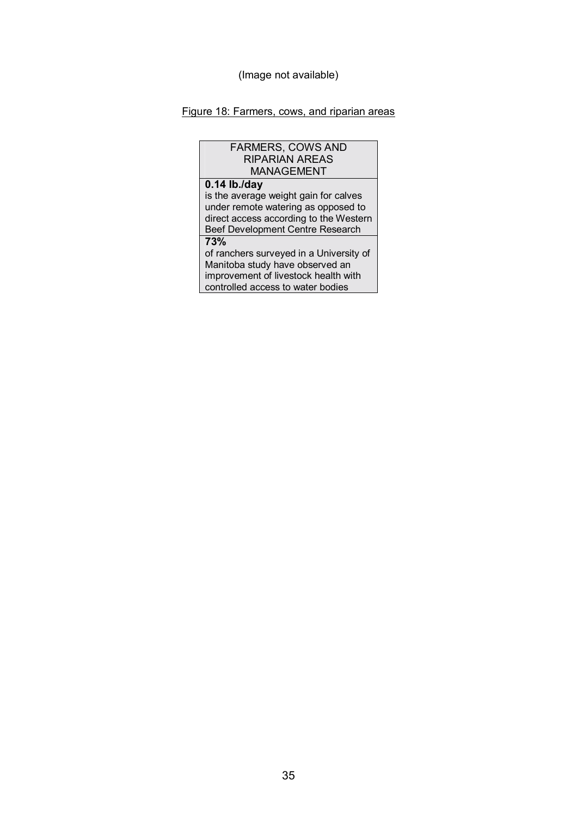## Figure 18: Farmers, cows, and riparian areas

| <b>FARMERS, COWS AND</b>                |  |  |
|-----------------------------------------|--|--|
| <b>RIPARIAN AREAS</b>                   |  |  |
| <b>MANAGEMENT</b>                       |  |  |
| $0.14$ lb./day                          |  |  |
| is the average weight gain for calves   |  |  |
| under remote watering as opposed to     |  |  |
| direct access according to the Western  |  |  |
| Beef Development Centre Research        |  |  |
| 73%                                     |  |  |
| of ranchers surveyed in a University of |  |  |
| Manitoba study have observed an         |  |  |
| improvement of livestock health with    |  |  |
| controlled access to water bodies       |  |  |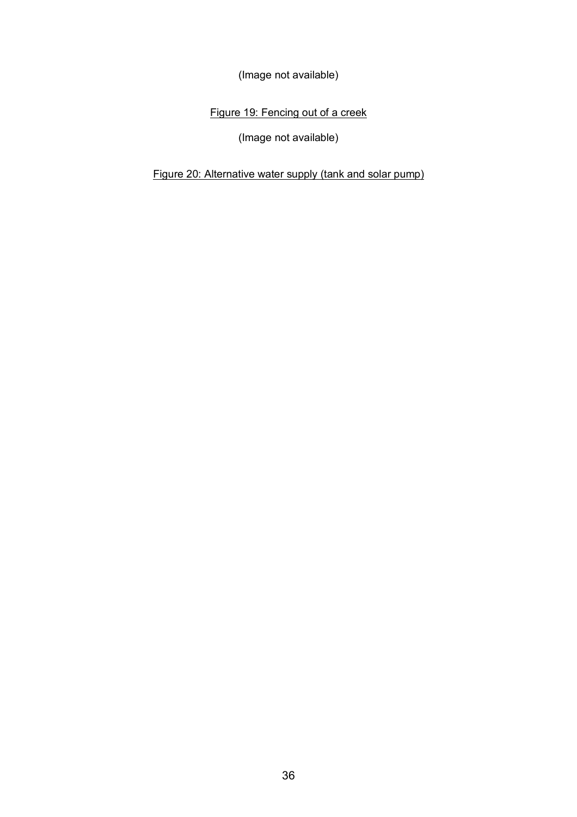(Image not available)

Figure 19: Fencing out of a creek

(Image not available)

Figure 20: Alternative water supply (tank and solar pump)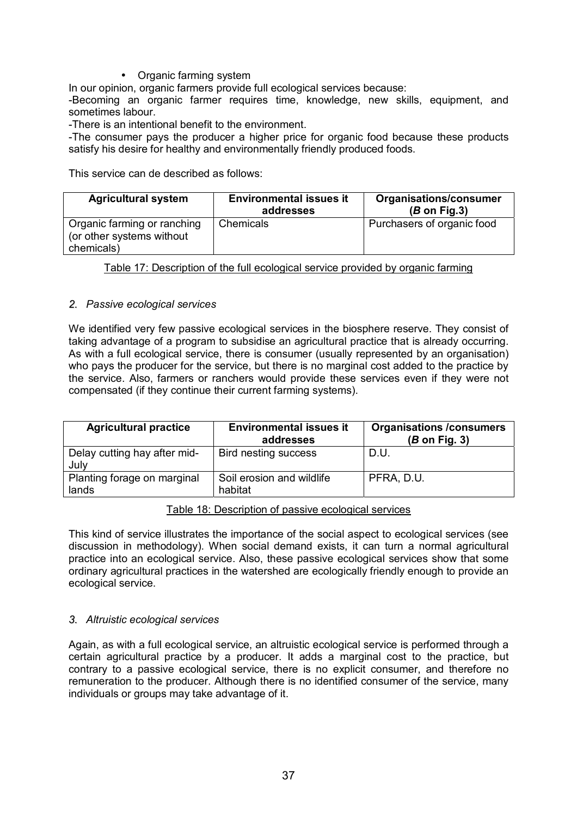• Organic farming system

In our opinion, organic farmers provide full ecological services because:

-Becoming an organic farmer requires time, knowledge, new skills, equipment, and sometimes labour.

-There is an intentional benefit to the environment.

-The consumer pays the producer a higher price for organic food because these products satisfy his desire for healthy and environmentally friendly produced foods.

This service can de described as follows:

| <b>Agricultural system</b>                                             | <b>Environmental issues it</b><br>addresses | Organisations/consumer<br>$(B \text{ on Fig.3})$ |
|------------------------------------------------------------------------|---------------------------------------------|--------------------------------------------------|
| Organic farming or ranching<br>(or other systems without<br>chemicals) | Chemicals                                   | Purchasers of organic food                       |

Table 17: Description of the full ecological service provided by organic farming

## *2. Passive ecological services*

We identified very few passive ecological services in the biosphere reserve. They consist of taking advantage of a program to subsidise an agricultural practice that is already occurring. As with a full ecological service, there is consumer (usually represented by an organisation) who pays the producer for the service, but there is no marginal cost added to the practice by the service. Also, farmers or ranchers would provide these services even if they were not compensated (if they continue their current farming systems).

| <b>Agricultural practice</b>         | <b>Environmental issues it</b><br>addresses | <b>Organisations /consumers</b><br>$(B \text{ on Fig. 3})$ |
|--------------------------------------|---------------------------------------------|------------------------------------------------------------|
| Delay cutting hay after mid-<br>July | Bird nesting success                        | D.U.                                                       |
| Planting forage on marginal<br>lands | Soil erosion and wildlife<br>habitat        | PFRA, D.U.                                                 |

## Table 18: Description of passive ecological services

This kind of service illustrates the importance of the social aspect to ecological services (see discussion in methodology). When social demand exists, it can turn a normal agricultural practice into an ecological service. Also, these passive ecological services show that some ordinary agricultural practices in the watershed are ecologically friendly enough to provide an ecological service.

## *3. Altruistic ecological services*

Again, as with a full ecological service, an altruistic ecological service is performed through a certain agricultural practice by a producer. It adds a marginal cost to the practice, but contrary to a passive ecological service, there is no explicit consumer, and therefore no remuneration to the producer. Although there is no identified consumer of the service, many individuals or groups may take advantage of it.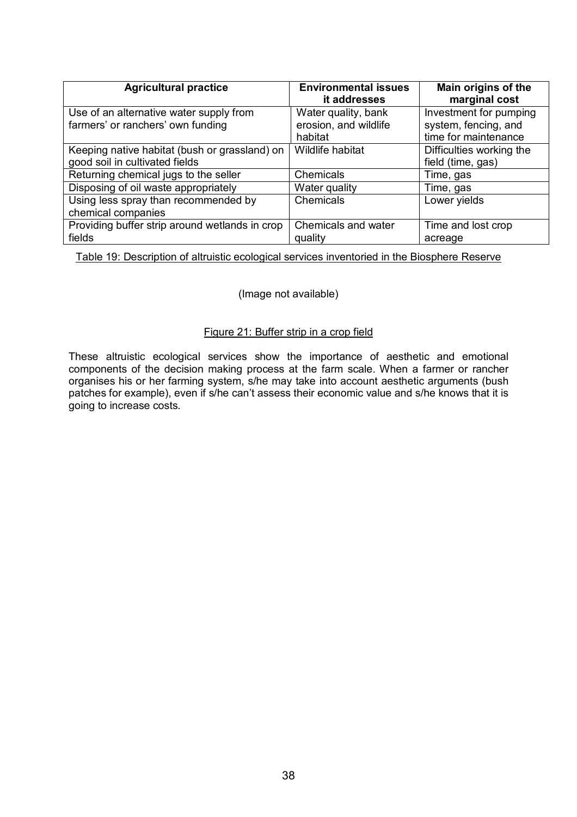| <b>Agricultural practice</b>                   | <b>Environmental issues</b><br>it addresses | Main origins of the<br>marginal cost |
|------------------------------------------------|---------------------------------------------|--------------------------------------|
| Use of an alternative water supply from        | Water quality, bank                         | Investment for pumping               |
| farmers' or ranchers' own funding              | erosion, and wildlife                       | system, fencing, and                 |
|                                                | habitat                                     | time for maintenance                 |
| Keeping native habitat (bush or grassland) on  | Wildlife habitat                            | Difficulties working the             |
| good soil in cultivated fields                 |                                             | field (time, gas)                    |
| Returning chemical jugs to the seller          | Chemicals                                   | Time, gas                            |
| Disposing of oil waste appropriately           | Water quality                               | Time, gas                            |
| Using less spray than recommended by           | Chemicals                                   | Lower yields                         |
| chemical companies                             |                                             |                                      |
| Providing buffer strip around wetlands in crop | Chemicals and water                         | Time and lost crop                   |
| fields                                         | quality                                     | acreage                              |

Table 19: Description of altruistic ecological services inventoried in the Biosphere Reserve

## (Image not available)

#### Figure 21: Buffer strip in a crop field

These altruistic ecological services show the importance of aesthetic and emotional components of the decision making process at the farm scale. When a farmer or rancher organises his or her farming system, s/he may take into account aesthetic arguments (bush patches for example), even if s/he can't assess their economic value and s/he knows that it is going to increase costs.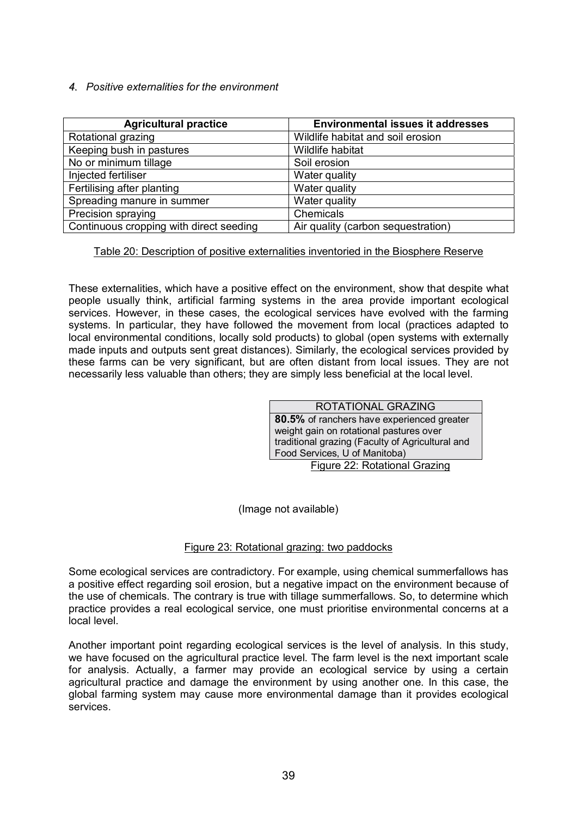*4. Positive externalities for the environment* 

| <b>Agricultural practice</b>            | <b>Environmental issues it addresses</b> |
|-----------------------------------------|------------------------------------------|
| Rotational grazing                      | Wildlife habitat and soil erosion        |
| Keeping bush in pastures                | Wildlife habitat                         |
| No or minimum tillage                   | Soil erosion                             |
| Injected fertiliser                     | Water quality                            |
| Fertilising after planting              | Water quality                            |
| Spreading manure in summer              | Water quality                            |
| Precision spraying                      | Chemicals                                |
| Continuous cropping with direct seeding | Air quality (carbon sequestration)       |

Table 20: Description of positive externalities inventoried in the Biosphere Reserve

These externalities, which have a positive effect on the environment, show that despite what people usually think, artificial farming systems in the area provide important ecological services. However, in these cases, the ecological services have evolved with the farming systems. In particular, they have followed the movement from local (practices adapted to local environmental conditions, locally sold products) to global (open systems with externally made inputs and outputs sent great distances). Similarly, the ecological services provided by these farms can be very significant, but are often distant from local issues. They are not necessarily less valuable than others; they are simply less beneficial at the local level.

| ROTATIONAL GRAZING                               |  |  |
|--------------------------------------------------|--|--|
| 80.5% of ranchers have experienced greater       |  |  |
| weight gain on rotational pastures over          |  |  |
| traditional grazing (Faculty of Agricultural and |  |  |
| Food Services, U of Manitoba)                    |  |  |
| Figure 22: Rotational Grazing                    |  |  |

(Image not available)

## Figure 23: Rotational grazing: two paddocks

Some ecological services are contradictory. For example, using chemical summerfallows has a positive effect regarding soil erosion, but a negative impact on the environment because of the use of chemicals. The contrary is true with tillage summerfallows. So, to determine which practice provides a real ecological service, one must prioritise environmental concerns at a local level.

Another important point regarding ecological services is the level of analysis. In this study, we have focused on the agricultural practice level. The farm level is the next important scale for analysis. Actually, a farmer may provide an ecological service by using a certain agricultural practice and damage the environment by using another one. In this case, the global farming system may cause more environmental damage than it provides ecological services.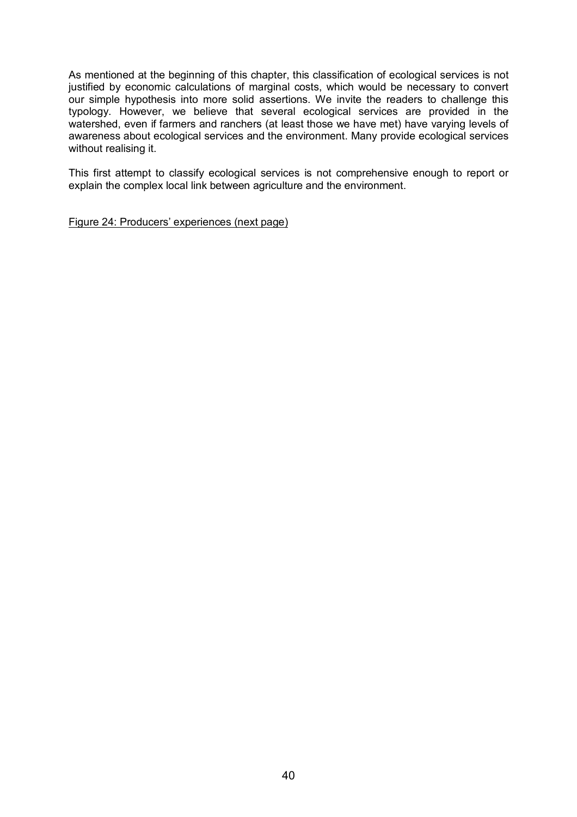As mentioned at the beginning of this chapter, this classification of ecological services is not justified by economic calculations of marginal costs, which would be necessary to convert our simple hypothesis into more solid assertions. We invite the readers to challenge this typology. However, we believe that several ecological services are provided in the watershed, even if farmers and ranchers (at least those we have met) have varying levels of awareness about ecological services and the environment. Many provide ecological services without realising it.

This first attempt to classify ecological services is not comprehensive enough to report or explain the complex local link between agriculture and the environment.

Figure 24: Producers' experiences (next page)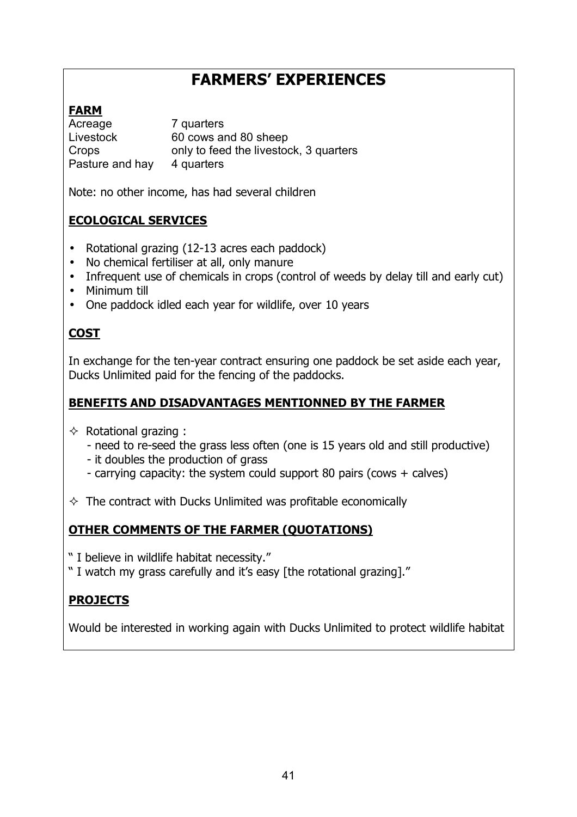# **FARMERSí EXPERIENCES**

# **FARM**

Acreage 7 quarters Livestock 60 cows and 80 sheep Crops only to feed the livestock, 3 quarters Pasture and hay 4 quarters

Note: no other income, has had several children

# **ECOLOGICAL SERVICES**

- Rotational grazing (12-13 acres each paddock)
- No chemical fertiliser at all, only manure
- Infrequent use of chemicals in crops (control of weeds by delay till and early cut)
- Minimum till
- One paddock idled each year for wildlife, over 10 years

# **COST**

In exchange for the ten-year contract ensuring one paddock be set aside each year, Ducks Unlimited paid for the fencing of the paddocks.

## **BENEFITS AND DISADVANTAGES MENTIONNED BY THE FARMER**

- $\Diamond$  Rotational grazing :
	- need to re-seed the grass less often (one is 15 years old and still productive)
	- it doubles the production of grass
	- carrying capacity: the system could support 80 pairs (cows + calves)
- $\Diamond$  The contract with Ducks Unlimited was profitable economically

# **OTHER COMMENTS OF THE FARMER (QUOTATIONS)**

- " I believe in wildlife habitat necessity."
- "I watch my grass carefully and it's easy [the rotational grazing]."

# **PROJECTS**

Would be interested in working again with Ducks Unlimited to protect wildlife habitat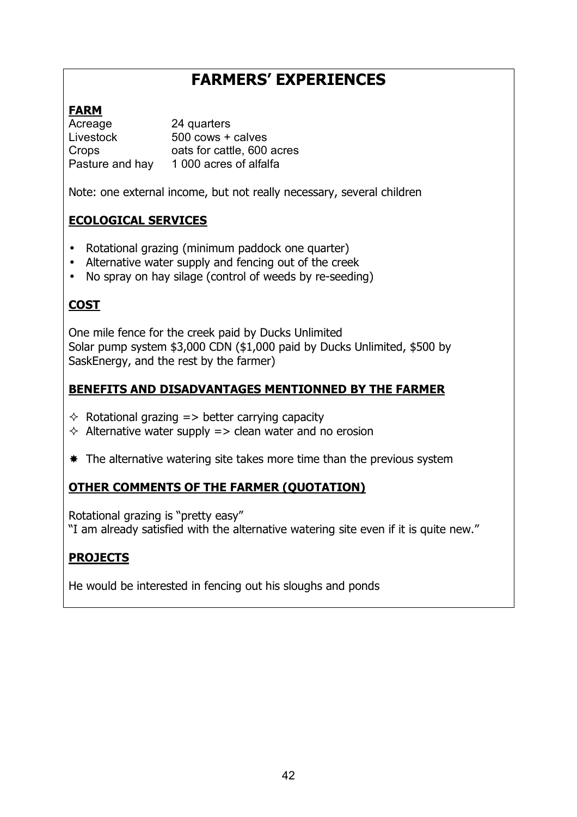# **FARMERSí EXPERIENCES**

# **FARM**

Acreage 24 quarters Livestock 500 cows + calves Crops oats for cattle, 600 acres Pasture and hay 1 000 acres of alfalfa

Note: one external income, but not really necessary, several children

# **ECOLOGICAL SERVICES**

- Rotational grazing (minimum paddock one quarter)
- Alternative water supply and fencing out of the creek
- No spray on hay silage (control of weeds by re-seeding)

# **COST**

One mile fence for the creek paid by Ducks Unlimited Solar pump system \$3,000 CDN (\$1,000 paid by Ducks Unlimited, \$500 by SaskEnergy, and the rest by the farmer)

# **BENEFITS AND DISADVANTAGES MENTIONNED BY THE FARMER**

- $\Diamond$  Rotational grazing  $\Rightarrow$  better carrying capacity
- $\Diamond$  Alternative water supply => clean water and no erosion
- $*$  The alternative watering site takes more time than the previous system

# **OTHER COMMENTS OF THE FARMER (QUOTATION)**

Rotational grazing is "pretty easy"

"I am already satisfied with the alternative watering site even if it is quite new."

# **PROJECTS**

He would be interested in fencing out his sloughs and ponds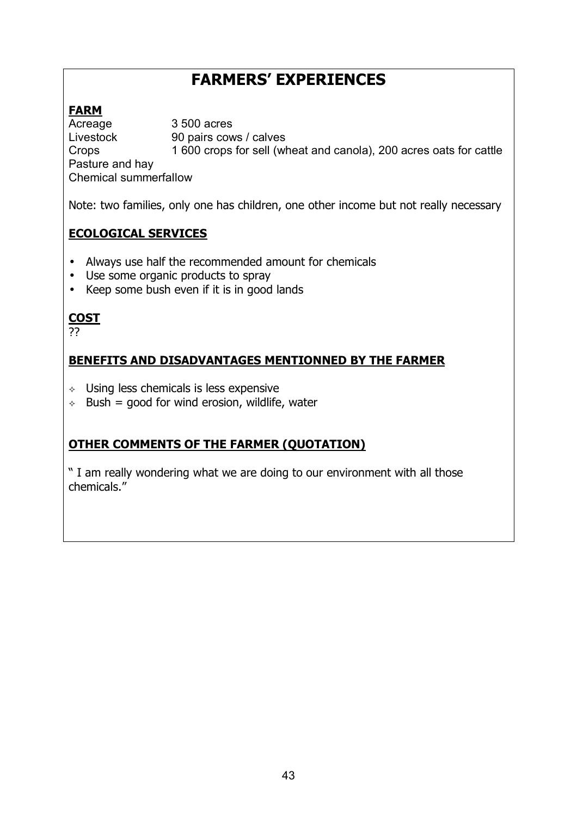# **FARMERSí EXPERIENCES**

# **FARM**

Acreage 3 500 acres Livestock 90 pairs cows / calves Crops 1 600 crops for sell (wheat and canola), 200 acres oats for cattle Pasture and hay Chemical summerfallow

Note: two families, only one has children, one other income but not really necessary

# **ECOLOGICAL SERVICES**

- Always use half the recommended amount for chemicals
- Use some organic products to spray
- Keep some bush even if it is in good lands

# **COST**

??

# **BENEFITS AND DISADVANTAGES MENTIONNED BY THE FARMER**

- $\leftrightarrow$  Using less chemicals is less expensive
- $\div$  Bush = good for wind erosion, wildlife, water

# **OTHER COMMENTS OF THE FARMER (QUOTATION)**

ì I am really wondering what we are doing to our environment with all those chemicals.<sup>"</sup>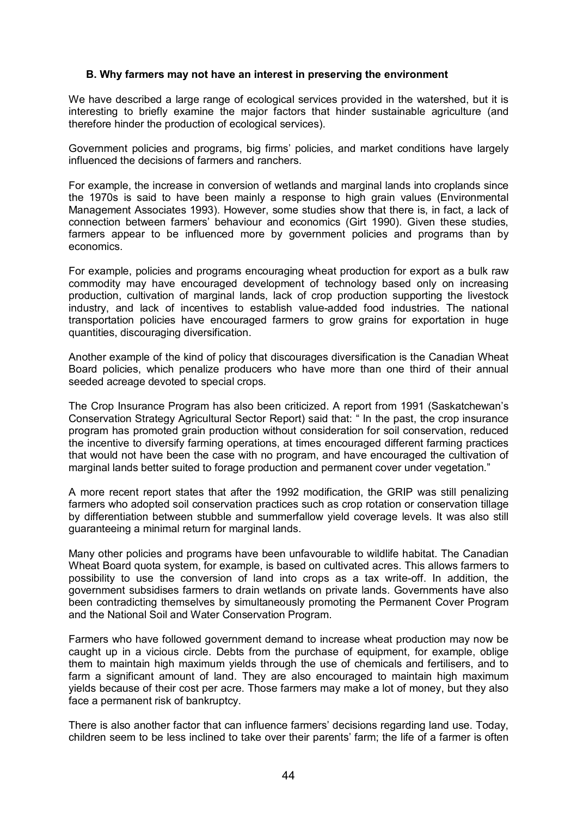#### **B. Why farmers may not have an interest in preserving the environment**

We have described a large range of ecological services provided in the watershed, but it is interesting to briefly examine the major factors that hinder sustainable agriculture (and therefore hinder the production of ecological services).

Government policies and programs, big firmsí policies, and market conditions have largely influenced the decisions of farmers and ranchers.

For example, the increase in conversion of wetlands and marginal lands into croplands since the 1970s is said to have been mainly a response to high grain values (Environmental Management Associates 1993). However, some studies show that there is, in fact, a lack of connection between farmers' behaviour and economics (Girt 1990). Given these studies, farmers appear to be influenced more by government policies and programs than by economics.

For example, policies and programs encouraging wheat production for export as a bulk raw commodity may have encouraged development of technology based only on increasing production, cultivation of marginal lands, lack of crop production supporting the livestock industry, and lack of incentives to establish value-added food industries. The national transportation policies have encouraged farmers to grow grains for exportation in huge quantities, discouraging diversification.

Another example of the kind of policy that discourages diversification is the Canadian Wheat Board policies, which penalize producers who have more than one third of their annual seeded acreage devoted to special crops.

The Crop Insurance Program has also been criticized. A report from 1991 (Saskatchewanís Conservation Strategy Agricultural Sector Report) said that: " In the past, the crop insurance program has promoted grain production without consideration for soil conservation, reduced the incentive to diversify farming operations, at times encouraged different farming practices that would not have been the case with no program, and have encouraged the cultivation of marginal lands better suited to forage production and permanent cover under vegetation."

A more recent report states that after the 1992 modification, the GRIP was still penalizing farmers who adopted soil conservation practices such as crop rotation or conservation tillage by differentiation between stubble and summerfallow yield coverage levels. It was also still guaranteeing a minimal return for marginal lands.

Many other policies and programs have been unfavourable to wildlife habitat. The Canadian Wheat Board quota system, for example, is based on cultivated acres. This allows farmers to possibility to use the conversion of land into crops as a tax write-off. In addition, the government subsidises farmers to drain wetlands on private lands. Governments have also been contradicting themselves by simultaneously promoting the Permanent Cover Program and the National Soil and Water Conservation Program.

Farmers who have followed government demand to increase wheat production may now be caught up in a vicious circle. Debts from the purchase of equipment, for example, oblige them to maintain high maximum yields through the use of chemicals and fertilisers, and to farm a significant amount of land. They are also encouraged to maintain high maximum yields because of their cost per acre. Those farmers may make a lot of money, but they also face a permanent risk of bankruptcy.

There is also another factor that can influence farmers' decisions regarding land use. Today, children seem to be less inclined to take over their parents' farm; the life of a farmer is often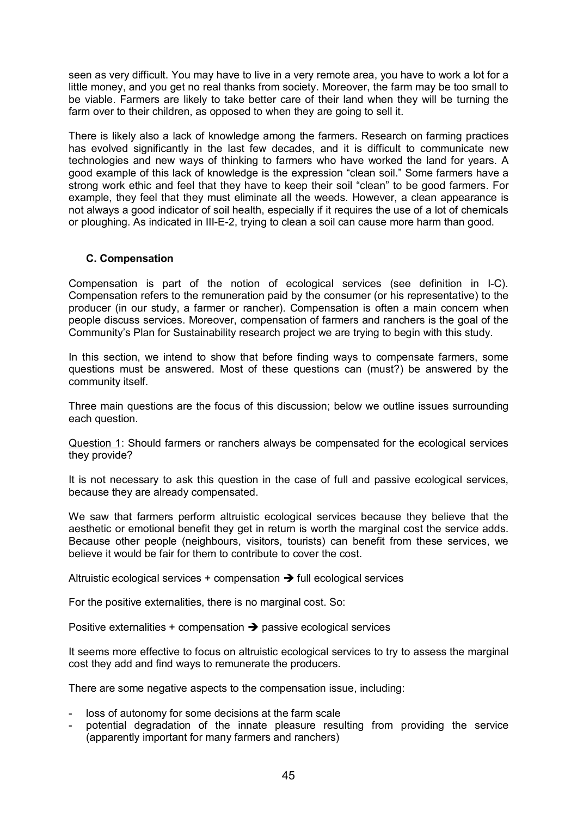seen as very difficult. You may have to live in a very remote area, you have to work a lot for a little money, and you get no real thanks from society. Moreover, the farm may be too small to be viable. Farmers are likely to take better care of their land when they will be turning the farm over to their children, as opposed to when they are going to sell it.

There is likely also a lack of knowledge among the farmers. Research on farming practices has evolved significantly in the last few decades, and it is difficult to communicate new technologies and new ways of thinking to farmers who have worked the land for years. A good example of this lack of knowledge is the expression "clean soil." Some farmers have a strong work ethic and feel that they have to keep their soil "clean" to be good farmers. For example, they feel that they must eliminate all the weeds. However, a clean appearance is not always a good indicator of soil health, especially if it requires the use of a lot of chemicals or ploughing. As indicated in III-E-2, trying to clean a soil can cause more harm than good.

## **C. Compensation**

Compensation is part of the notion of ecological services (see definition in I-C). Compensation refers to the remuneration paid by the consumer (or his representative) to the producer (in our study, a farmer or rancher). Compensation is often a main concern when people discuss services. Moreover, compensation of farmers and ranchers is the goal of the Communityís Plan for Sustainability research project we are trying to begin with this study.

In this section, we intend to show that before finding ways to compensate farmers, some questions must be answered. Most of these questions can (must?) be answered by the community itself.

Three main questions are the focus of this discussion; below we outline issues surrounding each question.

Question 1: Should farmers or ranchers always be compensated for the ecological services they provide?

It is not necessary to ask this question in the case of full and passive ecological services, because they are already compensated.

We saw that farmers perform altruistic ecological services because they believe that the aesthetic or emotional benefit they get in return is worth the marginal cost the service adds. Because other people (neighbours, visitors, tourists) can benefit from these services, we believe it would be fair for them to contribute to cover the cost.

Altruistic ecological services + compensation  $\rightarrow$  full ecological services

For the positive externalities, there is no marginal cost. So:

Positive externalities  $+$  compensation  $\rightarrow$  passive ecological services

It seems more effective to focus on altruistic ecological services to try to assess the marginal cost they add and find ways to remunerate the producers.

There are some negative aspects to the compensation issue, including:

- loss of autonomy for some decisions at the farm scale
- potential degradation of the innate pleasure resulting from providing the service (apparently important for many farmers and ranchers)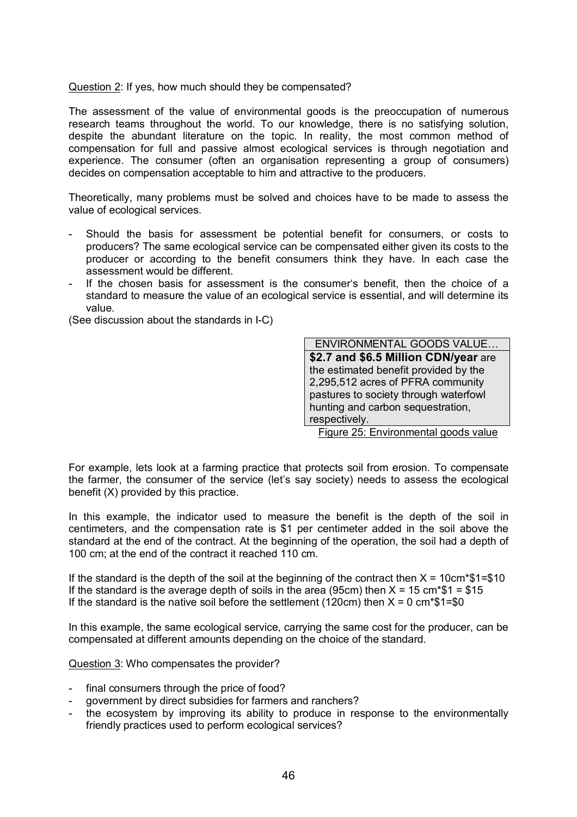Question 2: If yes, how much should they be compensated?

The assessment of the value of environmental goods is the preoccupation of numerous research teams throughout the world. To our knowledge, there is no satisfying solution, despite the abundant literature on the topic. In reality, the most common method of compensation for full and passive almost ecological services is through negotiation and experience. The consumer (often an organisation representing a group of consumers) decides on compensation acceptable to him and attractive to the producers.

Theoretically, many problems must be solved and choices have to be made to assess the value of ecological services.

- Should the basis for assessment be potential benefit for consumers, or costs to producers? The same ecological service can be compensated either given its costs to the producer or according to the benefit consumers think they have. In each case the assessment would be different.
- If the chosen basis for assessment is the consumer's benefit, then the choice of a standard to measure the value of an ecological service is essential, and will determine its value.

(See discussion about the standards in I-C)

ENVIRONMENTAL GOODS VALUE... **\$2.7 and \$6.5 Million CDN/year** are the estimated benefit provided by the 2,295,512 acres of PFRA community pastures to society through waterfowl hunting and carbon sequestration, respectively.

Figure 25: Environmental goods value

For example, lets look at a farming practice that protects soil from erosion. To compensate the farmer, the consumer of the service (let's say society) needs to assess the ecological benefit (X) provided by this practice.

In this example, the indicator used to measure the benefit is the depth of the soil in centimeters, and the compensation rate is \$1 per centimeter added in the soil above the standard at the end of the contract. At the beginning of the operation, the soil had a depth of 100 cm; at the end of the contract it reached 110 cm.

If the standard is the depth of the soil at the beginning of the contract then  $X = 10 \text{cm}^* $1 = $10$ If the standard is the average depth of soils in the area (95cm) then  $X = 15$  cm\*\$1 = \$15 If the standard is the native soil before the settlement (120cm) then  $X = 0$  cm\*\$1=\$0

In this example, the same ecological service, carrying the same cost for the producer, can be compensated at different amounts depending on the choice of the standard.

Question 3: Who compensates the provider?

- final consumers through the price of food?
- government by direct subsidies for farmers and ranchers?
- the ecosystem by improving its ability to produce in response to the environmentally friendly practices used to perform ecological services?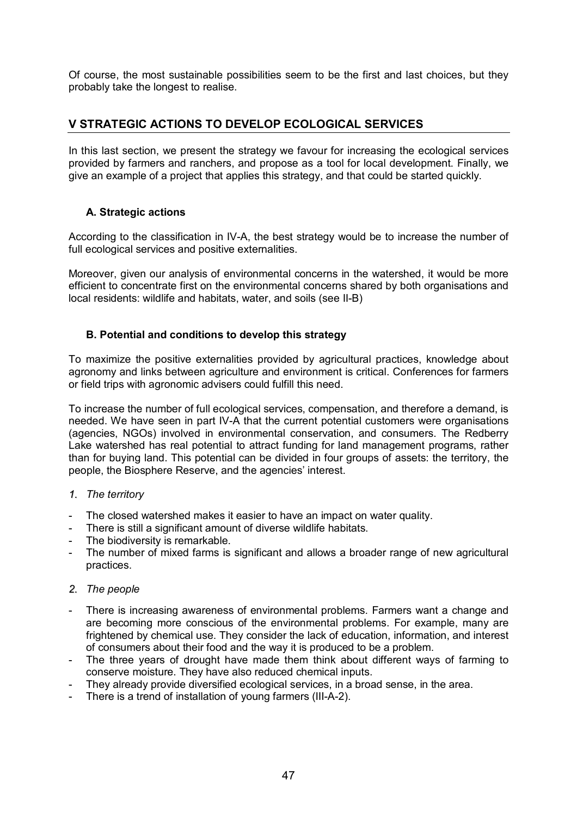Of course, the most sustainable possibilities seem to be the first and last choices, but they probably take the longest to realise.

## **V STRATEGIC ACTIONS TO DEVELOP ECOLOGICAL SERVICES**

In this last section, we present the strategy we favour for increasing the ecological services provided by farmers and ranchers, and propose as a tool for local development. Finally, we give an example of a project that applies this strategy, and that could be started quickly.

## **A. Strategic actions**

According to the classification in IV-A, the best strategy would be to increase the number of full ecological services and positive externalities.

Moreover, given our analysis of environmental concerns in the watershed, it would be more efficient to concentrate first on the environmental concerns shared by both organisations and local residents: wildlife and habitats, water, and soils (see II-B)

## **B. Potential and conditions to develop this strategy**

To maximize the positive externalities provided by agricultural practices, knowledge about agronomy and links between agriculture and environment is critical. Conferences for farmers or field trips with agronomic advisers could fulfill this need.

To increase the number of full ecological services, compensation, and therefore a demand, is needed. We have seen in part IV-A that the current potential customers were organisations (agencies, NGOs) involved in environmental conservation, and consumers. The Redberry Lake watershed has real potential to attract funding for land management programs, rather than for buying land. This potential can be divided in four groups of assets: the territory, the people, the Biosphere Reserve, and the agencies' interest.

## *1. The territory*

- The closed watershed makes it easier to have an impact on water quality.
- There is still a significant amount of diverse wildlife habitats.
- The biodiversity is remarkable.
- The number of mixed farms is significant and allows a broader range of new agricultural practices.

## *2. The people*

- There is increasing awareness of environmental problems. Farmers want a change and are becoming more conscious of the environmental problems. For example, many are frightened by chemical use. They consider the lack of education, information, and interest of consumers about their food and the way it is produced to be a problem.
- The three years of drought have made them think about different ways of farming to conserve moisture. They have also reduced chemical inputs.
- They already provide diversified ecological services, in a broad sense, in the area.
- There is a trend of installation of young farmers (III-A-2).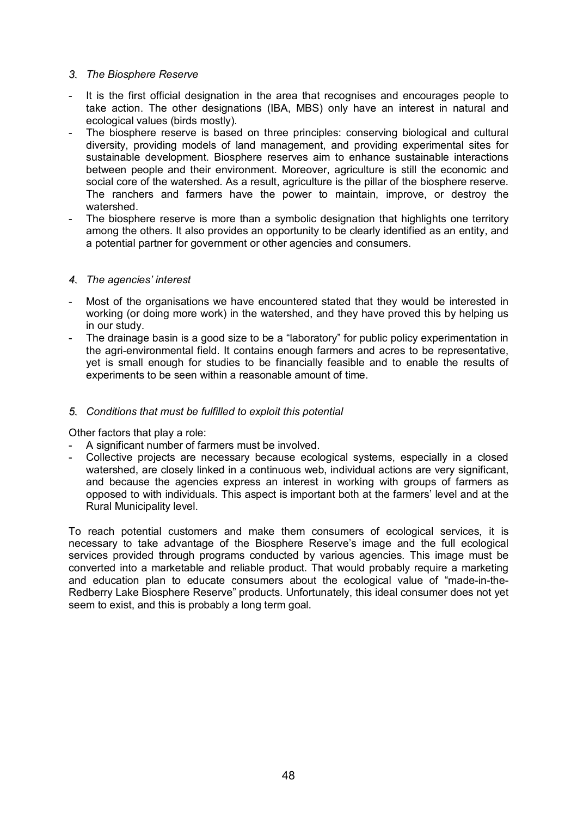## *3. The Biosphere Reserve*

- It is the first official designation in the area that recognises and encourages people to take action. The other designations (IBA, MBS) only have an interest in natural and ecological values (birds mostly).
- The biosphere reserve is based on three principles: conserving biological and cultural diversity, providing models of land management, and providing experimental sites for sustainable development. Biosphere reserves aim to enhance sustainable interactions between people and their environment. Moreover, agriculture is still the economic and social core of the watershed. As a result, agriculture is the pillar of the biosphere reserve. The ranchers and farmers have the power to maintain, improve, or destroy the watershed.
- The biosphere reserve is more than a symbolic designation that highlights one territory among the others. It also provides an opportunity to be clearly identified as an entity, and a potential partner for government or other agencies and consumers.

## *4. The agenciesí interest*

- Most of the organisations we have encountered stated that they would be interested in working (or doing more work) in the watershed, and they have proved this by helping us in our study.
- The drainage basin is a good size to be a "laboratory" for public policy experimentation in the agri-environmental field. It contains enough farmers and acres to be representative, yet is small enough for studies to be financially feasible and to enable the results of experiments to be seen within a reasonable amount of time.

## *5. Conditions that must be fulfilled to exploit this potential*

Other factors that play a role:

- A significant number of farmers must be involved.
- Collective projects are necessary because ecological systems, especially in a closed watershed, are closely linked in a continuous web, individual actions are very significant, and because the agencies express an interest in working with groups of farmers as opposed to with individuals. This aspect is important both at the farmers' level and at the Rural Municipality level.

To reach potential customers and make them consumers of ecological services, it is necessary to take advantage of the Biosphere Reserve's image and the full ecological services provided through programs conducted by various agencies. This image must be converted into a marketable and reliable product. That would probably require a marketing and education plan to educate consumers about the ecological value of "made-in-the-Redberry Lake Biosphere Reserve" products. Unfortunately, this ideal consumer does not yet seem to exist, and this is probably a long term goal.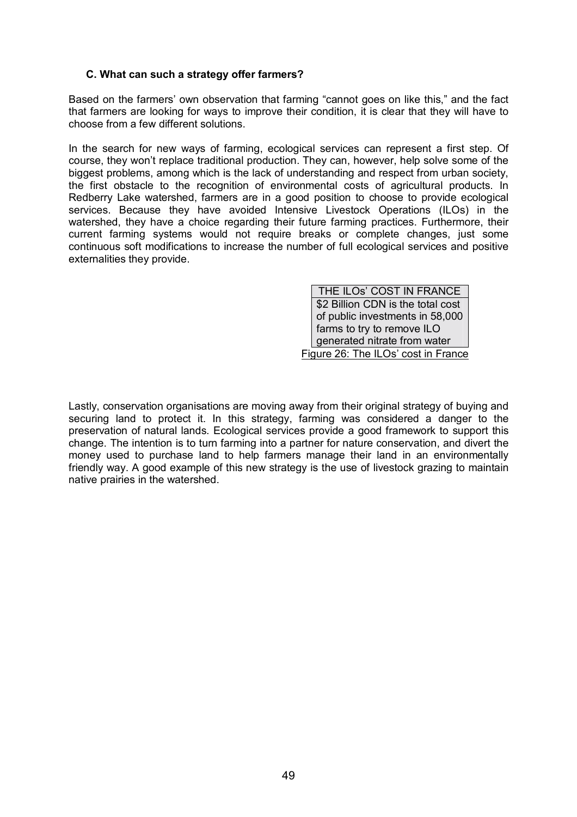## **C. What can such a strategy offer farmers?**

Based on the farmers' own observation that farming "cannot goes on like this," and the fact that farmers are looking for ways to improve their condition, it is clear that they will have to choose from a few different solutions.

In the search for new ways of farming, ecological services can represent a first step. Of course, they wonít replace traditional production. They can, however, help solve some of the biggest problems, among which is the lack of understanding and respect from urban society, the first obstacle to the recognition of environmental costs of agricultural products. In Redberry Lake watershed, farmers are in a good position to choose to provide ecological services. Because they have avoided Intensive Livestock Operations (ILOs) in the watershed, they have a choice regarding their future farming practices. Furthermore, their current farming systems would not require breaks or complete changes, just some continuous soft modifications to increase the number of full ecological services and positive externalities they provide.

> THE ILOs' COST IN FRANCE \$2 Billion CDN is the total cost of public investments in 58,000 farms to try to remove ILO generated nitrate from water Figure 26: The ILOs' cost in France

Lastly, conservation organisations are moving away from their original strategy of buying and securing land to protect it. In this strategy, farming was considered a danger to the preservation of natural lands. Ecological services provide a good framework to support this change. The intention is to turn farming into a partner for nature conservation, and divert the money used to purchase land to help farmers manage their land in an environmentally friendly way. A good example of this new strategy is the use of livestock grazing to maintain native prairies in the watershed.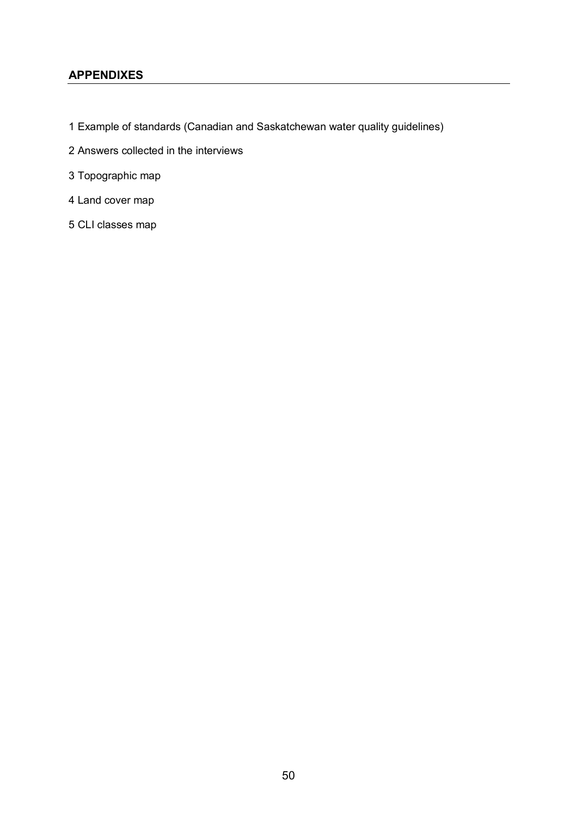## **APPENDIXES**

- 1 Example of standards (Canadian and Saskatchewan water quality guidelines)
- 2 Answers collected in the interviews
- 3 Topographic map
- 4 Land cover map
- 5 CLI classes map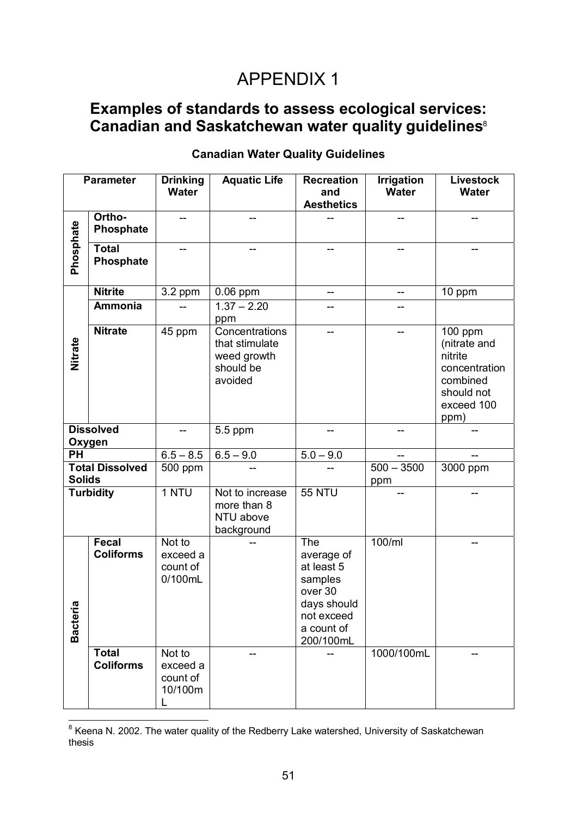# APPENDIX 1

# **Examples of standards to assess ecological services:**  Canadian and Saskatchewan water quality guidelines<sup>8</sup>

|                                         | <b>Parameter</b>                 | <b>Drinking</b><br><b>Water</b>           | <b>Aquatic Life</b>                                                     | <b>Recreation</b><br>and<br><b>Aesthetics</b>                                                                 | <b>Irrigation</b><br><b>Water</b> | <b>Livestock</b><br><b>Water</b>                                                                      |
|-----------------------------------------|----------------------------------|-------------------------------------------|-------------------------------------------------------------------------|---------------------------------------------------------------------------------------------------------------|-----------------------------------|-------------------------------------------------------------------------------------------------------|
|                                         | Ortho-<br>Phosphate              |                                           |                                                                         |                                                                                                               |                                   |                                                                                                       |
| Phosphate                               | <b>Total</b><br>Phosphate        |                                           |                                                                         |                                                                                                               |                                   |                                                                                                       |
|                                         | <b>Nitrite</b>                   | $\overline{3}$ .2 ppm                     | $0.06$ ppm                                                              | --                                                                                                            | --                                | 10 ppm                                                                                                |
|                                         | <b>Ammonia</b>                   |                                           | $1.37 - 2.20$<br>ppm                                                    |                                                                                                               |                                   |                                                                                                       |
| Nitrate                                 | <b>Nitrate</b>                   | 45 ppm                                    | Concentrations<br>that stimulate<br>weed growth<br>should be<br>avoided | --                                                                                                            |                                   | $100$ ppm<br>(nitrate and<br>nitrite<br>concentration<br>combined<br>should not<br>exceed 100<br>ppm) |
| <b>Dissolved</b><br>Oxygen              |                                  |                                           | 5.5 ppm                                                                 |                                                                                                               |                                   |                                                                                                       |
| $\overline{PH}$                         |                                  | $6.5 - 8.5$                               | $6.5 - 9.0$                                                             | $5.0 - 9.0$                                                                                                   |                                   |                                                                                                       |
| <b>Total Dissolved</b><br><b>Solids</b> |                                  | 500 ppm                                   |                                                                         |                                                                                                               | $500 - 3500$<br>ppm               | 3000 ppm                                                                                              |
| <b>Turbidity</b>                        |                                  | 1 NTU                                     | Not to increase<br>more than 8<br>NTU above<br>background               | <b>55 NTU</b>                                                                                                 |                                   |                                                                                                       |
| Ø<br><b>Bacteri</b>                     | Fecal<br><b>Coliforms</b>        | Not to<br>exceed a<br>count of<br>0/100mL |                                                                         | The<br>average of<br>at least 5<br>samples<br>over 30<br>days should<br>not exceed<br>a count of<br>200/100mL | 100/ml                            |                                                                                                       |
|                                         | <b>Total</b><br><b>Coliforms</b> | Not to<br>exceed a<br>count of<br>10/100m |                                                                         |                                                                                                               | 1000/100mL                        |                                                                                                       |

## **Canadian Water Quality Guidelines**

 8 Keena N. 2002. The water quality of the Redberry Lake watershed, University of Saskatchewan thesis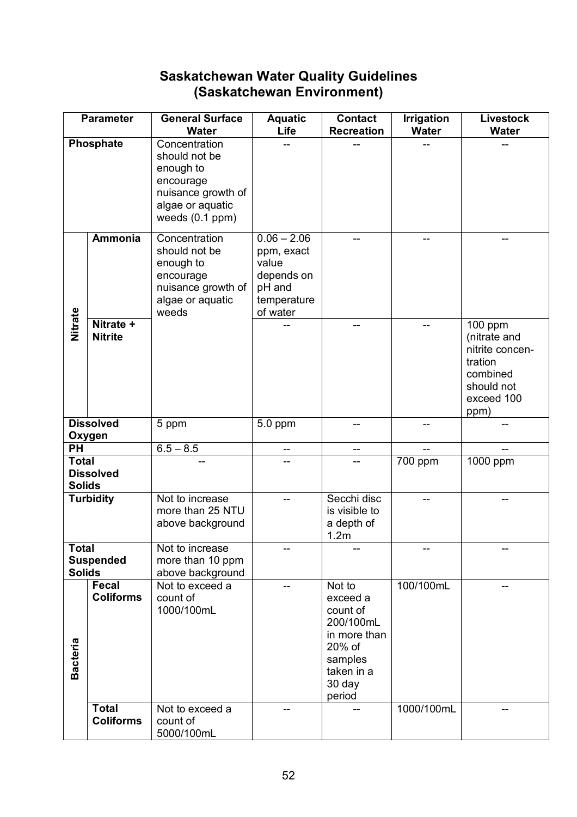# **Saskatchewan Water Quality Guidelines (Saskatchewan Environment)**

| <b>Parameter</b>              |                                  | <b>General Surface</b><br><b>Water</b>                                                                                     | <b>Aquatic</b><br>Life                                                                  | <b>Contact</b><br><b>Recreation</b>                                                                                | <b>Irrigation</b><br><b>Water</b> | <b>Livestock</b><br><b>Water</b>                                                                                   |
|-------------------------------|----------------------------------|----------------------------------------------------------------------------------------------------------------------------|-----------------------------------------------------------------------------------------|--------------------------------------------------------------------------------------------------------------------|-----------------------------------|--------------------------------------------------------------------------------------------------------------------|
|                               | Phosphate                        | Concentration<br>should not be<br>enough to<br>encourage<br>nuisance growth of<br>algae or aquatic<br>weeds $(0.1$ ppm $)$ |                                                                                         |                                                                                                                    |                                   |                                                                                                                    |
|                               | <b>Ammonia</b>                   | Concentration<br>should not be<br>enough to<br>encourage<br>nuisance growth of<br>algae or aquatic<br>weeds                | $0.06 - 2.06$<br>ppm, exact<br>value<br>depends on<br>pH and<br>temperature<br>of water |                                                                                                                    |                                   |                                                                                                                    |
| Nitrate                       | Nitrate +<br><b>Nitrite</b>      |                                                                                                                            |                                                                                         |                                                                                                                    |                                   | $\overline{100}$ ppm<br>(nitrate and<br>nitrite concen-<br>tration<br>combined<br>should not<br>exceed 100<br>ppm) |
| <b>Dissolved</b><br>Oxygen    |                                  | 5 ppm                                                                                                                      | 5.0 ppm                                                                                 |                                                                                                                    |                                   |                                                                                                                    |
| PH                            |                                  | $6.5 - 8.5$                                                                                                                | --                                                                                      | --                                                                                                                 |                                   |                                                                                                                    |
| <b>Total</b><br><b>Solids</b> | <b>Dissolved</b>                 |                                                                                                                            |                                                                                         |                                                                                                                    | $\overline{7}00$ ppm              | $\overline{1000}$ ppm                                                                                              |
|                               | <b>Turbidity</b>                 | Not to increase<br>more than 25 NTU<br>above background                                                                    |                                                                                         | Secchi disc<br>is visible to<br>a depth of<br>1.2m                                                                 |                                   |                                                                                                                    |
| <b>Total</b><br><b>Solids</b> | <b>Suspended</b>                 | Not to increase<br>more than 10 ppm<br>above background                                                                    |                                                                                         |                                                                                                                    |                                   |                                                                                                                    |
| Bacteria                      | <b>Fecal</b><br><b>Coliforms</b> | Not to exceed a<br>count of<br>1000/100mL                                                                                  |                                                                                         | Not to<br>exceed a<br>count of<br>200/100mL<br>in more than<br>20% of<br>samples<br>taken in a<br>30 day<br>period | 100/100mL                         |                                                                                                                    |
|                               | <b>Total</b><br><b>Coliforms</b> | Not to exceed a<br>count of<br>5000/100mL                                                                                  |                                                                                         |                                                                                                                    | 1000/100mL                        |                                                                                                                    |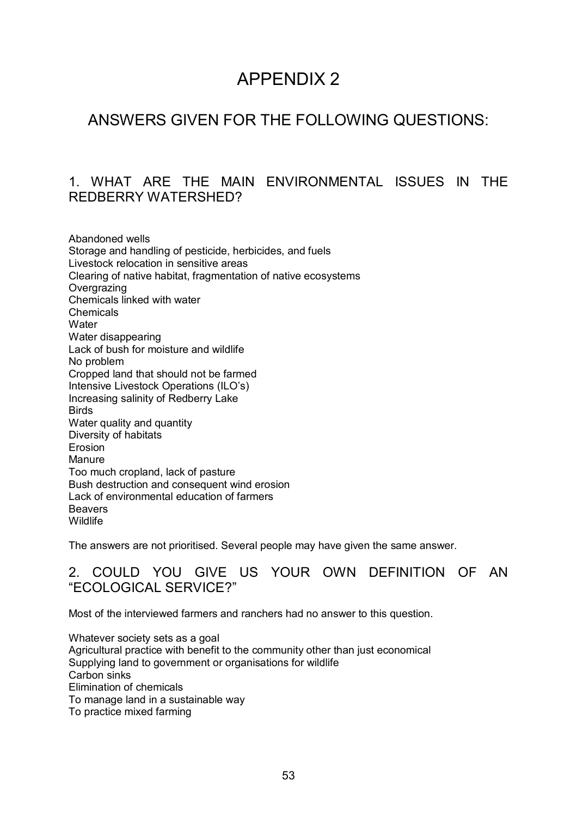# APPENDIX 2

# ANSWERS GIVEN FOR THE FOLLOWING QUESTIONS:

## 1. WHAT ARE THE MAIN ENVIRONMENTAL ISSUES IN THE REDBERRY WATERSHED?

Abandoned wells Storage and handling of pesticide, herbicides, and fuels Livestock relocation in sensitive areas Clearing of native habitat, fragmentation of native ecosystems **Overgrazing** Chemicals linked with water **Chemicals Water** Water disappearing Lack of bush for moisture and wildlife No problem Cropped land that should not be farmed Intensive Livestock Operations (ILO's) Increasing salinity of Redberry Lake **Birds** Water quality and quantity Diversity of habitats **Erosion Manure** Too much cropland, lack of pasture Bush destruction and consequent wind erosion Lack of environmental education of farmers Beavers **Wildlife** 

The answers are not prioritised. Several people may have given the same answer.

## 2. COULD YOU GIVE US YOUR OWN DEFINITION OF AN "ECOLOGICAL SERVICE?"

Most of the interviewed farmers and ranchers had no answer to this question.

Whatever society sets as a goal Agricultural practice with benefit to the community other than just economical Supplying land to government or organisations for wildlife Carbon sinks Elimination of chemicals To manage land in a sustainable way To practice mixed farming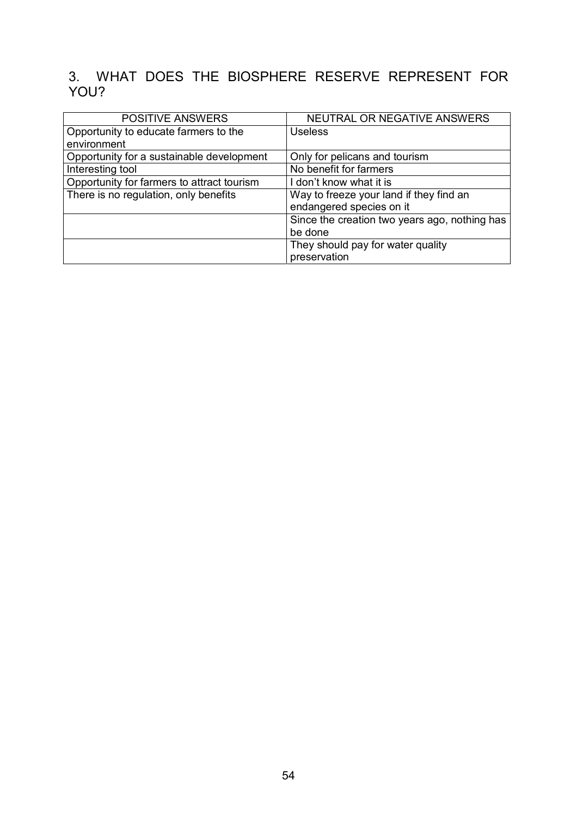# 3. WHAT DOES THE BIOSPHERE RESERVE REPRESENT FOR YOU?

| <b>POSITIVE ANSWERS</b>                    | NEUTRAL OR NEGATIVE ANSWERS                   |
|--------------------------------------------|-----------------------------------------------|
| Opportunity to educate farmers to the      | <b>Useless</b>                                |
| environment                                |                                               |
| Opportunity for a sustainable development  | Only for pelicans and tourism                 |
| Interesting tool                           | No benefit for farmers                        |
| Opportunity for farmers to attract tourism | I don't know what it is                       |
| There is no regulation, only benefits      | Way to freeze your land if they find an       |
|                                            | endangered species on it                      |
|                                            | Since the creation two years ago, nothing has |
|                                            | be done                                       |
|                                            | They should pay for water quality             |
|                                            | preservation                                  |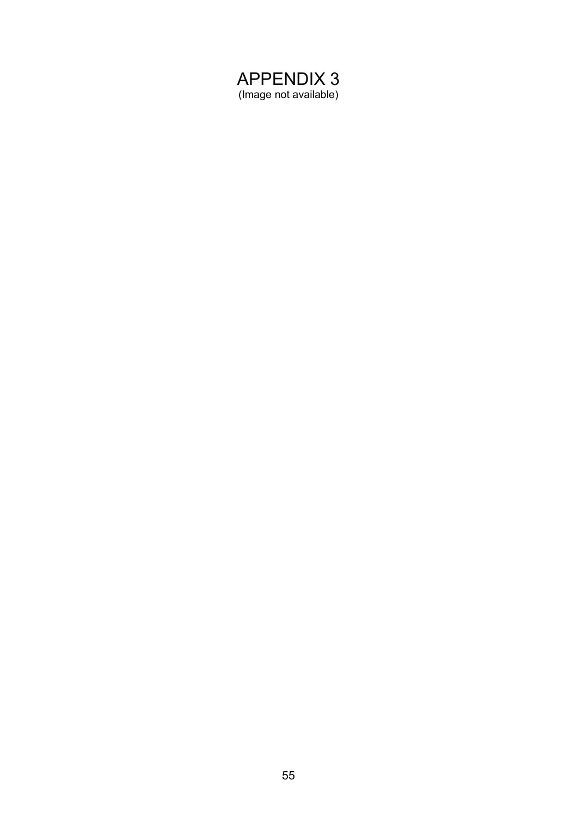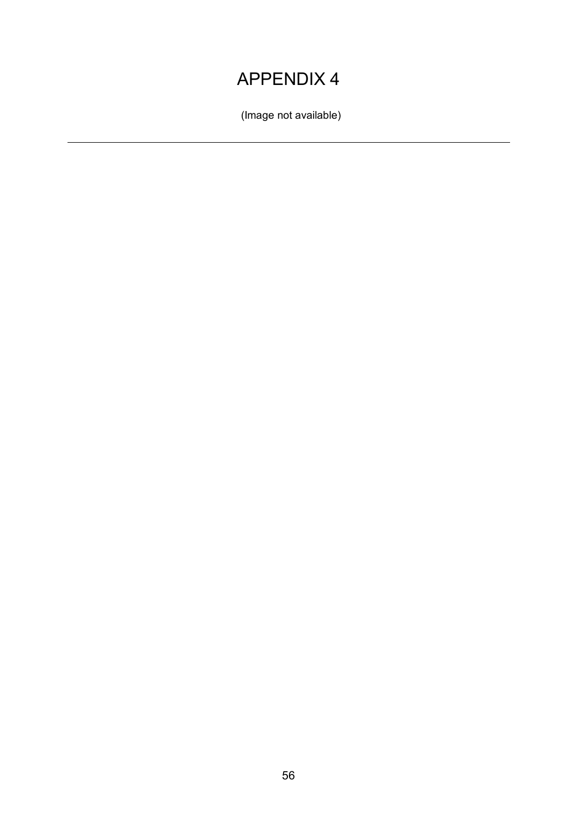# APPENDIX 4

(Image not available)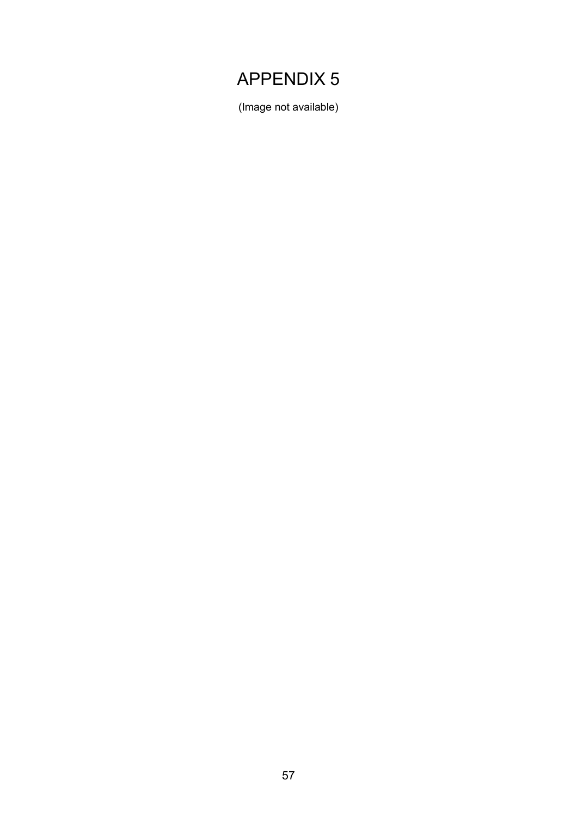# APPENDIX 5

(Image not available)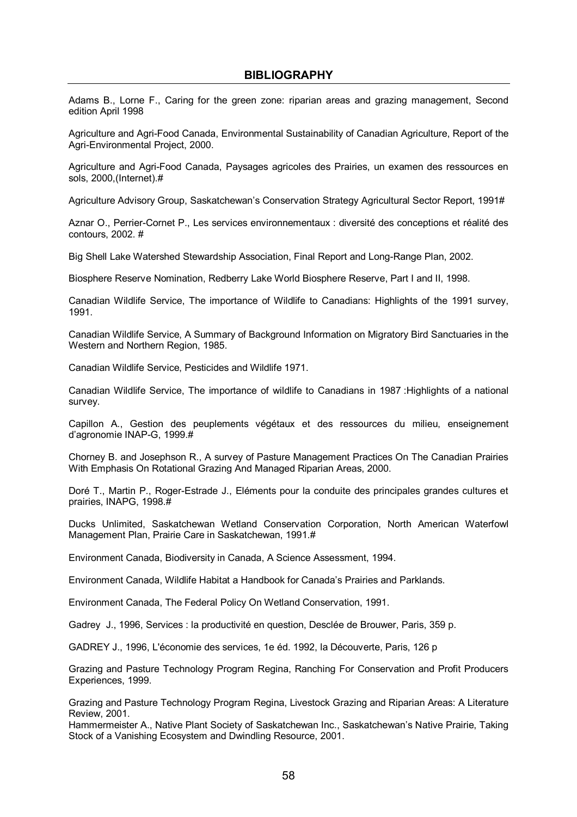Adams B., Lorne F., Caring for the green zone: riparian areas and grazing management, Second edition April 1998

Agriculture and Agri-Food Canada, Environmental Sustainability of Canadian Agriculture, Report of the Agri-Environmental Project, 2000.

Agriculture and Agri-Food Canada, Paysages agricoles des Prairies, un examen des ressources en sols, 2000,(Internet).#

Agriculture Advisory Group, Saskatchewanís Conservation Strategy Agricultural Sector Report, 1991#

Aznar O., Perrier-Cornet P., Les services environnementaux : diversité des conceptions et réalité des contours, 2002. #

Big Shell Lake Watershed Stewardship Association, Final Report and Long-Range Plan, 2002.

Biosphere Reserve Nomination, Redberry Lake World Biosphere Reserve, Part I and II, 1998.

Canadian Wildlife Service, The importance of Wildlife to Canadians: Highlights of the 1991 survey, 1991.

Canadian Wildlife Service, A Summary of Background Information on Migratory Bird Sanctuaries in the Western and Northern Region, 1985.

Canadian Wildlife Service, Pesticides and Wildlife 1971.

Canadian Wildlife Service, The importance of wildlife to Canadians in 1987 :Highlights of a national survey.

Capillon A., Gestion des peuplements végétaux et des ressources du milieu, enseignement d'agronomie INAP-G, 1999.#

Chorney B. and Josephson R., A survey of Pasture Management Practices On The Canadian Prairies With Emphasis On Rotational Grazing And Managed Riparian Areas, 2000.

Doré T., Martin P., Roger-Estrade J., Eléments pour la conduite des principales grandes cultures et prairies, INAPG, 1998.#

Ducks Unlimited, Saskatchewan Wetland Conservation Corporation, North American Waterfowl Management Plan, Prairie Care in Saskatchewan, 1991.#

Environment Canada, Biodiversity in Canada, A Science Assessment, 1994.

Environment Canada, Wildlife Habitat a Handbook for Canadaís Prairies and Parklands.

Environment Canada, The Federal Policy On Wetland Conservation, 1991.

Gadrey J., 1996, Services : la productivité en question, Desclée de Brouwer, Paris, 359 p.

GADREY J., 1996, L'Èconomie des services, 1e Èd. 1992, la DÈcouverte, Paris, 126 p

Grazing and Pasture Technology Program Regina, Ranching For Conservation and Profit Producers Experiences, 1999.

Grazing and Pasture Technology Program Regina, Livestock Grazing and Riparian Areas: A Literature Review, 2001.

Hammermeister A., Native Plant Society of Saskatchewan Inc., Saskatchewanís Native Prairie, Taking Stock of a Vanishing Ecosystem and Dwindling Resource, 2001.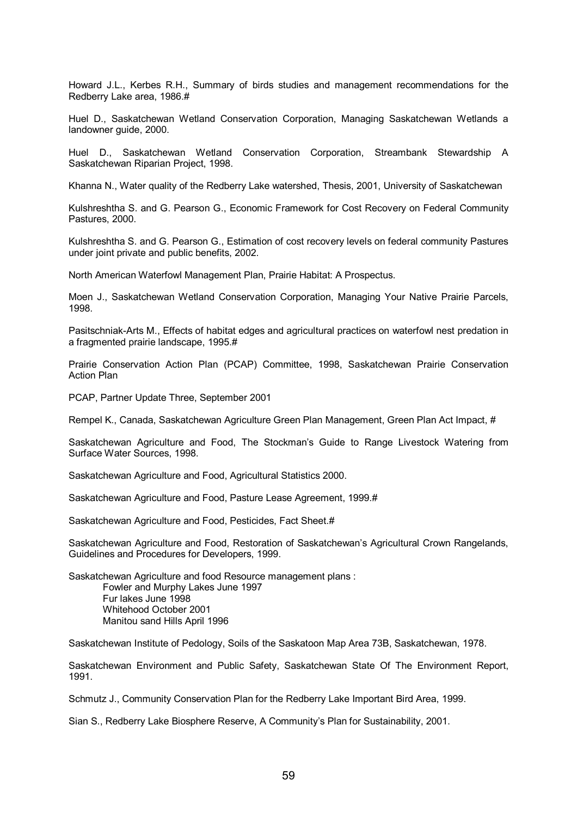Howard J.L., Kerbes R.H., Summary of birds studies and management recommendations for the Redberry Lake area, 1986.#

Huel D., Saskatchewan Wetland Conservation Corporation, Managing Saskatchewan Wetlands a landowner guide, 2000.

Huel D., Saskatchewan Wetland Conservation Corporation, Streambank Stewardship A Saskatchewan Riparian Project, 1998.

Khanna N., Water quality of the Redberry Lake watershed, Thesis, 2001, University of Saskatchewan

Kulshreshtha S. and G. Pearson G., Economic Framework for Cost Recovery on Federal Community Pastures, 2000.

Kulshreshtha S. and G. Pearson G., Estimation of cost recovery levels on federal community Pastures under joint private and public benefits, 2002.

North American Waterfowl Management Plan, Prairie Habitat: A Prospectus.

Moen J., Saskatchewan Wetland Conservation Corporation, Managing Your Native Prairie Parcels, 1998.

Pasitschniak-Arts M., Effects of habitat edges and agricultural practices on waterfowl nest predation in a fragmented prairie landscape, 1995.#

Prairie Conservation Action Plan (PCAP) Committee, 1998, Saskatchewan Prairie Conservation Action Plan

PCAP, Partner Update Three, September 2001

Rempel K., Canada, Saskatchewan Agriculture Green Plan Management, Green Plan Act Impact. #

Saskatchewan Agriculture and Food, The Stockmanís Guide to Range Livestock Watering from Surface Water Sources, 1998.

Saskatchewan Agriculture and Food, Agricultural Statistics 2000.

Saskatchewan Agriculture and Food, Pasture Lease Agreement, 1999.#

Saskatchewan Agriculture and Food, Pesticides, Fact Sheet.#

Saskatchewan Agriculture and Food, Restoration of Saskatchewanís Agricultural Crown Rangelands, Guidelines and Procedures for Developers, 1999.

Saskatchewan Agriculture and food Resource management plans : Fowler and Murphy Lakes June 1997 Fur lakes June 1998 Whitehood October 2001 Manitou sand Hills April 1996

Saskatchewan Institute of Pedology, Soils of the Saskatoon Map Area 73B, Saskatchewan, 1978.

Saskatchewan Environment and Public Safety, Saskatchewan State Of The Environment Report, 1991.

Schmutz J., Community Conservation Plan for the Redberry Lake Important Bird Area, 1999.

Sian S., Redberry Lake Biosphere Reserve, A Communityís Plan for Sustainability, 2001.